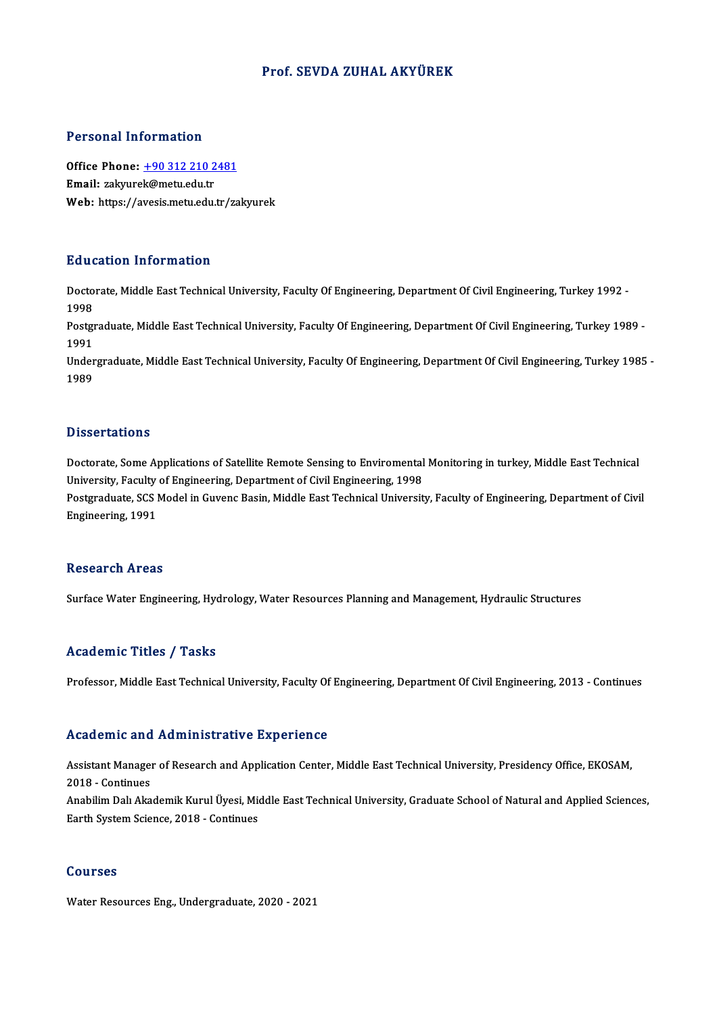#### Prof. SEVDA ZUHAL AKYÜREK

#### Personal Information

Personal Information<br>Office Phone: <u>+90 312 210 2481</u><br>Email: galgausek@metu.edu.tr Processian and constants in the Section<br>Office Phone: <u>+90 312 210 2</u><br>Email: zakyure[k@metu.edu.tr](tel:+90 312 210 2481) Email: zakyurek@metu.edu.tr<br>Web: https://avesis.metu.edu.tr/zakyurek

#### Education Information

**Education Information**<br>Doctorate, Middle East Technical University, Faculty Of Engineering, Department Of Civil Engineering, Turkey 1992 -<br>1998 Bata<br>Docto<br>1998<br><sup>Bosto</sup> Doctorate, Middle East Technical University, Faculty Of Engineering, Department Of Civil Engineering, Turkey 1992 -<br>1998<br>Postgraduate, Middle East Technical University, Faculty Of Engineering, Department Of Civil Engineeri

1998<br>Postgi<br>1991<br>Under Postgraduate, Middle East Technical University, Faculty Of Engineering, Department Of Civil Engineering, Turkey 1989 -<br>1991<br>Undergraduate, Middle East Technical University, Faculty Of Engineering, Department Of Civil Engin

1991<br>Undergraduate, Middle East Technical University, Faculty Of Engineering, Department Of Civil Engineering, Turkey 1985 -<br>1989

#### **Dissertations**

Doctorate, Some Applications of Satellite Remote Sensing to Enviromental Monitoring in turkey, Middle East Technical University, Faculty of Engineering, Department of Civil Engineering, 1998 Doctorate, Some Applications of Satellite Remote Sensing to Enviromental Monitoring in turkey, Middle East Technical<br>University, Faculty of Engineering, Department of Civil Engineering, 1998<br>Postgraduate, SCS Model in Guve

University, Faculty<br>Postgraduate, SCS I<br>Engineering, 1991 Engineering, 1991<br>Research Areas

Surface Water Engineering, Hydrology, Water Resources Planning and Management, Hydraulic Structures

#### Academic Titles / Tasks

Professor, Middle East Technical University, Faculty Of Engineering, Department Of Civil Engineering, 2013 - Continues

#### Academic and Administrative Experience

Academic and Administrative Experience<br>Assistant Manager of Research and Application Center, Middle East Technical University, Presidency Office, EKOSAM,<br>2018 - Continues Assistant Manager<br>2018 - Continues<br>2018 - Continues Assistant Manager of Research and Application Center, Middle East Technical University, Presidency Office, EKOSAM,<br>2018 - Continues<br>Anabilim Dalı Akademik Kurul Üyesi, Middle East Technical University, Graduate School of N 2018 - Continues<br>Anabilim Dalı Akademik Kurul Üyesi, Mi<br>Earth System Science, 2018 - Continues Earth System Science, 2018 - Continues<br>Courses

Water Resources Eng., Undergraduate, 2020 - 2021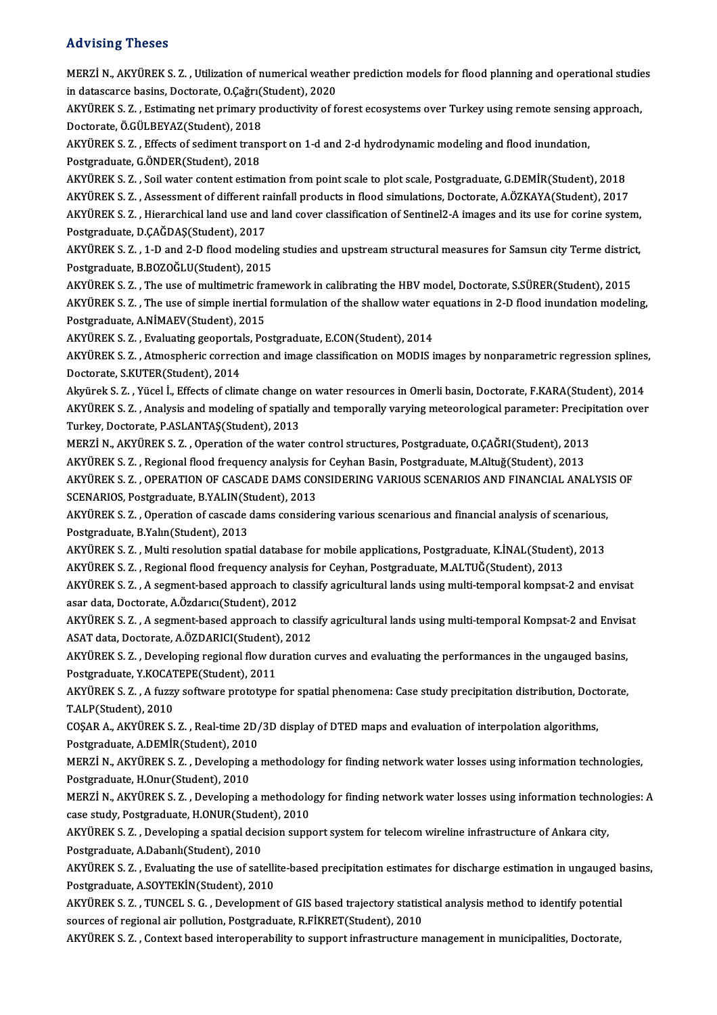#### Advising Theses

Advising Theses<br>MERZİ N., AKYÜREK S. Z. , Utilization of numerical weather prediction models for flood planning and operational studies<br>in datasearse basins, Destante, O Ceğru(Student), 2020 ind vienig indeed<br>MERZİ N., AKYÜREK S. Z. , Utilization of numerical weath<br>in datascarce basins, Doctorate, O.Çağrı(Student), 2020<br>AKYÜREK S. 7. . Estimating net nuimew nuqdustivity of fo MERZİ N., AKYÜREK S. Z. , Utilization of numerical weather prediction models for flood planning and operational studie<br>in datascarce basins, Doctorate, O.Çağrı(Student), 2020<br>AKYÜREK S. Z. , Estimating net primary producti in datascarce basins, Doctorate, O.Çağrı(!)<br>AKYÜREK S. Z. , Estimating net primary p<br>Doctorate, Ö.GÜLBEYAZ(Student), 2018<br>AKYÜREK S. 7. – Effects of sediment trans AKYÜREK S. Z. , Estimating net primary productivity of forest ecosystems over Turkey using remote sensing<br>Doctorate, Ö.GÜLBEYAZ(Student), 2018<br>AKYÜREK S. Z. , Effects of sediment transport on 1-d and 2-d hydrodynamic model Doctorate, Ö.GÜLBEYAZ(Student), 2018<br>AKYÜREK S. Z. , Effects of sediment trans<br>Postgraduate, G.ÖNDER(Student), 2018<br>AKYÜREK S. Z., Soil water sentent estim AKYÜREK S. Z. , Effects of sediment transport on 1-d and 2-d hydrodynamic modeling and flood inundation,<br>Postgraduate, G.ÖNDER(Student), 2018<br>AKYÜREK S. Z. , Soil water content estimation from point scale to plot scale, Po Postgraduate, G.ÖNDER(Student), 2018<br>AKYÜREK S. Z. , Soil water content estimation from point scale to plot scale, Postgraduate, G.DEMİR(Student), 2018<br>AKYÜREK S. Z. , Assessment of different rainfall products in flood sim AKYÜREK S. Z. , Soil water content estimation from point scale to plot scale, Postgraduate, G.DEMİR(Student), 2018<br>AKYÜREK S. Z. , Assessment of different rainfall products in flood simulations, Doctorate, A.ÖZKAYA(Student AKYÜREK S. Z. , Assessment of different ra<br>AKYÜREK S. Z. , Hierarchical land use and<br>Postgraduate, D.ÇAĞDAŞ(Student), 2017<br>AKYÜREK S. Z. , 1 D.and 2 D.flood modeli AKYÜREK S. Z. , Hierarchical land use and land cover classification of Sentinel2-A images and its use for corine system,<br>Postgraduate, D.ÇAĞDAŞ(Student), 2017<br>AKYÜREK S. Z. , 1-D and 2-D flood modeling studies and upstream Postgraduate, D.ÇAĞDAŞ(Student), 2017<br>AKYÜREK S. Z. , 1-D and 2-D flood modeling studies and upstream structural measures for Samsun city Terme district,<br>Postgraduate, B.BOZOĞLU(Student), 2015 AKYÜREK S. Z. , 1-D and 2-D flood modeling studies and upstream structural measures for Samsun city Terme distric<br>Postgraduate, B.BOZOĞLU(Student), 2015<br>AKYÜREK S. Z. , The use of multimetric framework in calibrating the H Postgraduate, B.BOZOĞLU(Student), 2015<br>AKYÜREK S. Z. , The use of multimetric framework in calibrating the HBV model, Doctorate, S.SÜRER(Student), 2015<br>AKYÜREK S. Z. , The use of simple inertial formulation of the shallow AKYÜREK S. Z. , The use of multimetric fra<br>AKYÜREK S. Z. , The use of simple inertial<br>Postgraduate, A.NİMAEV(Student), 2015<br>AKYÜREK S. 7. Evolusting seonortals, Bo AKYÜREK S. Z., The use of simple inertial formulation of the shallow water equations in 2-D flood inundation modeling,<br>Postgraduate, A.NİMAEV(Student), 2015 Postgraduate, A.NİMAEV(Student), 2015<br>AKYÜREK S. Z. , Evaluating geoportals, Postgraduate, E.CON(Student), 2014<br>AKYÜREK S. Z. , Atmospheric correction and image classification on MODIS images by nonparametric regression sp AKYÜREK S. Z. , Evaluating geoportals, Postgraduate, E.CON(Student), 2014<br>AKYÜREK S. Z. , Atmospheric correction and image classification on MODIS<br>Doctorate, S.KUTER(Student), 2014 AKYÜREK S. Z. , Atmospheric correction and image classification on MODIS images by nonparametric regression splines<br>Doctorate, S.KUTER(Student), 2014<br>Akyürek S. Z. , Yücel İ., Effects of climate change on water resources i Doctorate, S.KUTER(Student), 2014<br>Akyürek S. Z. , Yücel İ., Effects of climate change on water resources in Omerli basin, Doctorate, F.KARA(Student), 2014<br>AKYÜREK S. Z. , Analysis and modeling of spatially and temporally v Akyürek S. Z. , Yücel İ., Effects of climate change of<br>AKYÜREK S. Z. , Analysis and modeling of spatial<br>Turkey, Doctorate, P.ASLANTAŞ(Student), 2013<br>MERZİ N. AKYÜREK S. Z. Operation of the uratel AKYÜREK S. Z. , Analysis and modeling of spatially and temporally varying meteorological parameter: Precip<br>Turkey, Doctorate, P.ASLANTAŞ(Student), 2013<br>MERZİ N., AKYÜREK S. Z. , Operation of the water control structures, P Turkey, Doctorate, P.ASLANTAŞ(Student), 2013<br>MERZİ N., AKYÜREK S. Z. , Operation of the water control structures, Postgraduate, O.ÇAĞRI(Student), 2013<br>AKYÜREK S. Z. , Regional flood frequency analysis for Ceyhan Basin, Pos AKYÜREK S. Z. , OPERATION OF CASCADE DAMS CONSIDERING VARIOUS SCENARIOS AND FINANCIAL ANALYSIS OF<br>SCENARIOS, Postgraduate, B.YALIN(Student), 2013 AKYÜREK S. Z., Regional flood frequency analysis for Ceyhan Basin, Postgraduate, M.Altuğ(Student), 2013 AKYÜREK S. Z. , OPERATION OF CASCADE DAMS CONSIDERING VARIOUS SCENARIOS AND FINANCIAL ANALYSI<br>SCENARIOS, Postgraduate, B.YALIN(Student), 2013<br>AKYÜREK S. Z. , Operation of cascade dams considering various scenarious and fin SCENARIOS, Postgraduate, B.YALIN(St<br>AKYÜREK S. Z. , Operation of cascade<br>Postgraduate, B.Yalın(Student), 2013<br>AKYÜREK S. Z., Multi resolution spati AKYÜREK S. Z. , Operation of cascade dams considering various scenarious and financial analysis of scenarious,<br>Postgraduate, B.Yalın(Student), 2013<br>AKYÜREK S. Z. , Multi resolution spatial database for mobile applications, Postgraduate, B.Yalın(Student), 2013<br>AKYÜREK S. Z. , Multi resolution spatial database for mobile applications, Postgraduate, K.İNAL(Student), 2013<br>AKYÜREK S. Z. , Regional flood frequency analysis for Ceyhan, Postgraduate AKYÜREK S. Z. , Multi resolution spatial database for mobile applications, Postgraduate, K.İNAL(Student), 2013<br>AKYÜREK S. Z. , Regional flood frequency analysis for Ceyhan, Postgraduate, M.ALTUĞ(Student), 2013<br>AKYÜREK S. Z AKYÜREK S. Z. , Regional flood frequency analys<br>AKYÜREK S. Z. , A segment-based approach to cl<br>asar data, Doctorate, A.Özdarıcı(Student), 2012<br>AKYÜREK S. Z. A segment based approach to cl AKYÜREK S. Z. , A segment-based approach to classify agricultural lands using multi-temporal kompsat-2 and envisat<br>asar data, Doctorate, A.Özdarıcı(Student), 2012<br>AKYÜREK S. Z. , A segment-based approach to classify agricu asar data, Doctorate, A.Özdarıcı(Student), 2012<br>AKYÜREK S. Z. , A segment-based approach to class<br>ASAT data, Doctorate, A.ÖZDARICI(Student), 2012<br>AKYÜREK S. Z., Dovelaning regional flow duration AKYÜREK S. Z. , A segment-based approach to classify agricultural lands using multi-temporal Kompsat-2 and Envisat<br>ASAT data, Doctorate, A.ÖZDARICI(Student), 2012<br>AKYÜREK S. Z. , Developing regional flow duration curves an ASAT data, Doctorate, A.ÖZDARICI(Student)<br>AKYÜREK S. Z. , Developing regional flow du<br>Postgraduate, Y.KOCATEPE(Student), 2011<br>AKYÜREK S. Z. , A fuzzu softunge protetune AKYÜREK S. Z. , Developing regional flow duration curves and evaluating the performances in the ungauged basins,<br>Postgraduate, Y.KOCATEPE(Student), 2011<br>AKYÜREK S. Z. , A fuzzy software prototype for spatial phenomena: Cas Postgraduate, Y.KOCAT<br>AKYÜREK S. Z. , A fuzzy<br>T.ALP(Student), 2010<br>COSAR A - AKYÜREK S AKYÜREK S. Z. , A fuzzy software prototype for spatial phenomena: Case study precipitation distribution, Doct<br>T.ALP(Student), 2010<br>COŞAR A., AKYÜREK S. Z. , Real-time 2D/3D display of DTED maps and evaluation of interpolat T.ALP(Student), 2010<br>COŞAR A., AKYÜREK S. Z. , Real-time 2D/<br>Postgraduate, A.DEMİR(Student), 2010<br>MERZİ N. AKYÜREK S. 7. Dovelaning 2. COŞAR A., AKYÜREK S. Z. , Real-time 2D/3D display of DTED maps and evaluation of interpolation algorithms,<br>Postgraduate, A.DEMİR(Student), 2010<br>MERZİ N., AKYÜREK S. Z. , Developing a methodology for finding network water l Postgraduate, A.DEMİR(Student), 201<br>MERZİ N., AKYÜREK S. Z. , Developing<br>Postgraduate, H.Onur(Student), 2010<br>MERZİ N. AKYÜREK S. 7. Develening MERZİ N., AKYÜREK S. Z. , Developing a methodology for finding network water losses using information technologies,<br>Postgraduate, H.Onur(Student), 2010<br>MERZİ N., AKYÜREK S. Z. , Developing a methodology for finding network Postgraduate, H.Onur (Student), 2010<br>MERZİ N., AKYÜREK S. Z. , Developing a methodolo<br>case study, Postgraduate, H.ONUR(Student), 2010<br>AKYÜREK S. 7. Developing a apatial degision sunn MERZİ N., AKYÜREK S. Z. , Developing a methodology for finding network water losses using information techno<br>case study, Postgraduate, H.ONUR(Student), 2010<br>AKYÜREK S. Z. , Developing a spatial decision support system for case study, Postgraduate, H.ONUR(Stude:<br>AKYÜREK S. Z. , Developing a spatial deci<br>Postgraduate, A.Dabanlı(Student), 2010<br>AKYÜREK S. 7., Evaluating the use of sati AKYÜREK S. Z. , Developing a spatial decision support system for telecom wireline infrastructure of Ankara city,<br>Postgraduate, A.Dabanlı(Student), 2010<br>AKYÜREK S. Z. , Evaluating the use of satellite-based precipitation es Postgraduate, A.Dabanlı(Student), 2010<br>AKYÜREK S. Z. , Evaluating the use of satelli<br>Postgraduate, A.SOYTEKİN(Student), 2010<br>AKYÜREK S. Z., TUNCEL S. G., Davelopment AKYÜREK S. Z. , Evaluating the use of satellite-based precipitation estimates for discharge estimation in ungauged b<br>Postgraduate, A.SOYTEKİN(Student), 2010<br>AKYÜREK S. Z. , TUNCEL S. G. , Development of GIS based trajector

Postgraduate, A.SOYTEKİN(Student), 2010<br>AKYÜREK S. Z. , TUNCEL S. G. , Development of GIS based trajectory statist<br>sources of regional air pollution, Postgraduate, R.FİKRET(Student), 2010<br>AKYÜREK S. Z., Context based inter AKYÜREK S. Z. , TUNCEL S. G. , Development of GIS based trajectory statistical analysis method to identify potential<br>sources of regional air pollution, Postgraduate, R.FİKRET(Student), 2010<br>AKYÜREK S. Z. , Context based in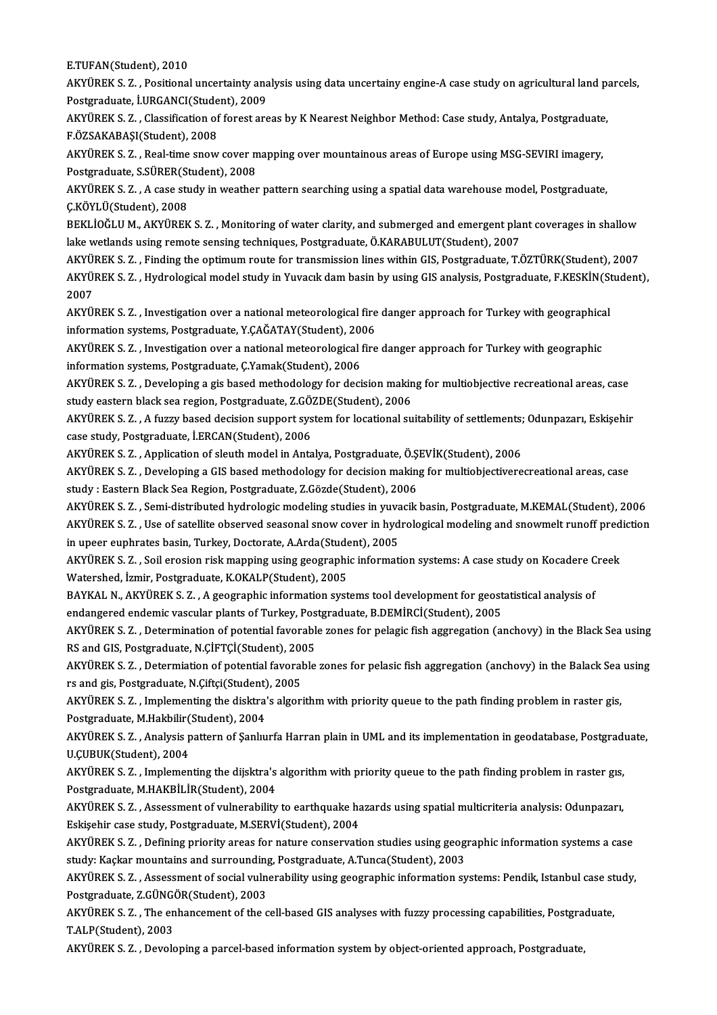E.TUFAN(Student),2010

AKYÜREK S. Z., Positional uncertainty analysis using data uncertainy engine-A case study on agricultural land parcels, E.TUFAN(Student), 2010<br>AKYÜREK S. Z. , Positional uncertainty ana<br>Postgraduate, İ.URGANCI(Student), 2009<br>AKYÜREK S. 7. , Classifisation of forest ara AKYÜREK S. Z. , Positional uncertainty analysis using data uncertainy engine-A case study on agricultural land pa<br>Postgraduate, İ.URGANCI(Student), 2009<br>AKYÜREK S. Z. , Classification of forest areas by K Nearest Neighbor

Postgraduate, İ.URGANCI(Stude<br>AKYÜREK S. Z. , Classification of<br>F.ÖZSAKABAŞI(Student), 2008<br>AKYÜREK S. 7. , Boal time snow AKYÜREK S. Z. , Classification of forest areas by K Nearest Neighbor Method: Case study, Antalya, Postgraduate<br>F.ÖZSAKABAŞI(Student), 2008<br>AKYÜREK S. Z. , Real-time snow cover mapping over mountainous areas of Europe using

F.ÖZSAKABAŞI(Student), 2008<br>AKYÜREK S. Z. , Real-time snow cover m<br>Postgraduate, S.SÜRER(Student), 2008<br>AKYÜREK S. Z. A case study in weather AKYÜREK S. Z. , Real-time snow cover mapping over mountainous areas of Europe using MSG-SEVIRI imagery,<br>Postgraduate, S.SÜRER(Student), 2008<br>AKYÜREK S. Z. , A case study in weather pattern searching using a spatial data wa

Postgraduate, S.SÜRER(Student), 2008<br>AKYÜREK S. Z. , A case study in weather pattern searching using a spatial data warehouse model, Postgraduate,<br>C.KÖYLÜ(Student), 2008 AKYÜREK S. Z. , A case study in weather pattern searching using a spatial data warehouse model, Postgraduate,<br>Ç.KÖYLÜ(Student), 2008<br>BEKLİOĞLU M., AKYÜREK S. Z. , Monitoring of water clarity, and submerged and emergent pla

Ç.KÖYLÜ(Student), 2008<br>BEKLİOĞLU M., AKYÜREK S. Z. , Monitoring of water clarity, and submerged and emergent pla<br>lake wetlands using remote sensing techniques, Postgraduate, Ö.KARABULUT(Student), 2007<br>AKYÜREK S. 7., Findin BEKLİOĞLU M., AKYÜREK S. Z. , Monitoring of water clarity, and submerged and emergent plant coverages in shallow<br>lake wetlands using remote sensing techniques, Postgraduate, Ö.KARABULUT(Student), 2007<br>AKYÜREK S. Z. , Findi

lake wetlands using remote sensing techniques, Postgraduate, Ö.KARABULUT(Student), 2007<br>AKYÜREK S. Z. , Finding the optimum route for transmission lines within GIS, Postgraduate, T.ÖZTÜRK(Student), 2007<br>AKYÜREK S. Z. , Hyd <mark>AKYÜ</mark><br>AKYÜ<br>2007<br>AKYÜ AKYÜREK S. Z. , Hydrological model study in Yuvacık dam basin by using GIS analysis, Postgraduate, F.KESKİN(St<br>2007<br>AKYÜREK S. Z. , Investigation over a national meteorological fire danger approach for Turkey with geograph

2007<br>AKYÜREK S. Z. , Investigation over a national meteorological fire<br>information systems, Postgraduate, Y.ÇAĞATAY(Student), 2006<br>AKYÜREK S. Z., Investigation ever a national meteorological fire AKYÜREK S. Z. , Investigation over a national meteorological fire danger approach for Turkey with geographica<br>information systems, Postgraduate, Y.ÇAĞATAY(Student), 2006<br>AKYÜREK S. Z. , Investigation over a national meteor

information systems, Postgraduate, Y.ÇAĞATAY(Student), 2006<br>AKYÜREK S. Z. , Investigation over a national meteorological fire danger approach for Turkey with geographic<br>information systems, Postgraduate, C.Yamak(Student), AKYÜREK S. Z. , Investigation over a national meteorological fire danger approach for Turkey with geographic<br>information systems, Postgraduate, Ç.Yamak(Student), 2006<br>AKYÜREK S. Z. , Developing a gis based methodology for

information systems, Postgraduate, Ç.Yamak(Student), 2006<br>AKYÜREK S. Z. , Developing a gis based methodology for decision makin<br>study eastern black sea region, Postgraduate, Z.GÖZDE(Student), 2006<br>AKYÜREK S. Z. . A furmy b AKYÜREK S. Z. , Developing a gis based methodology for decision making for multiobjective recreational areas, case<br>study eastern black sea region, Postgraduate, Z.GÖZDE(Student), 2006<br>AKYÜREK S. Z. , A fuzzy based decision

study eastern black sea region, Postgraduate, Z.GÖ.<br>AKYÜREK S. Z. , A fuzzy based decision support sys<br>case study, Postgraduate, İ.ERCAN(Student), 2006<br>AKYÜREK S. Z. Application of slouth model in Anta AKYÜREK S. Z. , A fuzzy based decision support system for locational suitability of settlements;<br>case study, Postgraduate, İ.ERCAN(Student), 2006<br>AKYÜREK S. Z. , Application of sleuth model in Antalya, Postgraduate, Ö.ŞEVİ

AKYÜREK S. Z., Application of sleuth model in Antalya, Postgraduate, Ö.ŞEVİK(Student), 2006

case study, Postgraduate, İ.ERCAN(Student), 2006<br>AKYÜREK S. Z. , Application of sleuth model in Antalya, Postgraduate, Ö.ŞEVİK(Student), 2006<br>AKYÜREK S. Z. , Developing a GIS based methodology for decision making for multi AKYÜREK S. Z. , Developing a GIS based methodology for decision making for multiobjectiverecreational areas, case<br>study : Eastern Black Sea Region, Postgraduate, Z.Gözde(Student), 2006<br>AKYÜREK S. Z. , Semi-distributed hydr

study : Eastern Black Sea Region, Postgraduate, Z.Gözde(Student), 2006<br>AKYÜREK S. Z. , Semi-distributed hydrologic modeling studies in yuvacik basin, Postgraduate, M.KEMAL(Student), 2006<br>AKYÜREK S. Z. , Use of satellite ob

AKYÜREK S. Z. , Semi-distributed hydrologic modeling studies in yuva<br>AKYÜREK S. Z. , Use of satellite observed seasonal snow cover in hyd<br>in upeer euphrates basin, Turkey, Doctorate, A.Arda(Student), 2005<br>AKYÜREK S. 7. Soi AKYÜREK S. Z. , Use of satellite observed seasonal snow cover in hydrological modeling and snowmelt runoff pred<br>in upeer euphrates basin, Turkey, Doctorate, A.Arda(Student), 2005<br>AKYÜREK S. Z. , Soil erosion risk mapping u

in upeer euphrates basin, Turkey, Doctorate, A.Arda(Stude<br>AKYÜREK S. Z. , Soil erosion risk mapping using geographi<br>Watershed, İzmir, Postgraduate, K.OKALP(Student), 2005<br>BAYKAL N. AKYÜREK S. 7. , A.Sestraphis information AKYÜREK S. Z. , Soil erosion risk mapping using geographic information systems: A case study on Kocadere C<br>Watershed, İzmir, Postgraduate, K.OKALP(Student), 2005<br>BAYKAL N., AKYÜREK S. Z. , A geographic information systems

Watershed, İzmir, Postgraduate, K.OKALP(Student), 2005<br>BAYKAL N., AKYÜREK S. Z. , A geographic information systems tool development for geost<br>endangered endemic vascular plants of Turkey, Postgraduate, B.DEMİRCİ(Student),

BAYKAL N., AKYÜREK S. Z. , A geographic information systems tool development for geostatistical analysis of endangered endemic vascular plants of Turkey, Postgraduate, B.DEMİRCİ(Student), 2005<br>AKYÜREK S. Z. , Determination endangered endemic vascular plants of Turkey, Pos<br>AKYÜREK S. Z. , Determination of potential favorabl<br>RS and GIS, Postgraduate, N.ÇİFTÇİ(Student), 2005<br>AKYÜREK S. Z., Determistion of potential favorable AKYÜREK S. Z. , Determination of potential favorable zones for pelagic fish aggregation (anchovy) in the Black Sea using<br>RS and GIS, Postgraduate, N.ÇİFTÇİ(Student), 2005<br>AKYÜREK S. Z. , Determiation of potential favorable

RS and GIS, Postgraduate, N.ÇİFTÇİ(Student), 200<br>AKYÜREK S. Z. , Determiation of potential favoral<br>rs and gis, Postgraduate, N.Çiftçi(Student), 2005<br>AKYÜREK S. Z., Implementing the dialtre's algeri AKYÜREK S. Z. , Determiation of potential favorable zones for pelasic fish aggregation (anchovy) in the Balack Sea<br>rs and gis, Postgraduate, N.Çiftçi(Student), 2005<br>AKYÜREK S. Z. , Implementing the disktra's algorithm with

rs and gis, Postgraduate, N.Çiftçi(Student)<br>AKYÜREK S. Z. , Implementing the disktra'<br>Postgraduate, M.Hakbilir(Student), 2004<br>AKYÜREK S. Z., Analysis pattern of Sanlu AKYÜREK S. Z. , Implementing the disktra's algorithm with priority queue to the path finding problem in raster gis,<br>Postgraduate, M.Hakbilir(Student), 2004<br>AKYÜREK S. Z. , Analysis pattern of Şanlıurfa Harran plain in UML

Postgraduate, M.Hakbilir<br>AKYÜREK S. Z. , Analysis p<br>U.ÇUBUK(Student), 2004<br>AKYÜREK S. 7. , Implemen AKYÜREK S. Z. , Analysis pattern of Şanlıurfa Harran plain in UML and its implementation in geodatabase, Postgradı<br>U.ÇUBUK(Student), 2004<br>AKYÜREK S. Z. , Implementing the dijsktra's algorithm with priority queue to the pat

U.ÇUBUK(Student), 2004<br>AKYÜREK S. Z. , Implementing the dijsktra's<br>Postgraduate, M.HAKBİLİR(Student), 2004<br>AKYÜREK S. Z., Assessment of uulpershijiry AKYÜREK S. Z. , Implementing the dijsktra's algorithm with priority queue to the path finding problem in raster gis,<br>Postgraduate, M.HAKBİLİR(Student), 2004<br>AKYÜREK S. Z. , Assessment of vulnerability to earthquake hazards

Postgraduate, M.HAKBİLİR(Student), 2004<br>AKYÜREK S. Z. , Assessment of vulnerability to earthquake hazards using spatial multicriteria analysis: Odunpazarı,<br>Eskişehir case study, Postgraduate, M.SERVİ(Student), 2004 AKYÜREK S. Z. , Assessment of vulnerability to earthquake hazards using spatial multicriteria analysis: Odunpazarı,<br>Eskişehir case study, Postgraduate, M.SERVİ(Student), 2004<br>AKYÜREK S. Z. , Defining priority areas for nat

Eskişehir case study, Postgraduate, M.SERVİ(Student), 2004<br>AKYÜREK S. Z. , Defining priority areas for nature conservation studies using geog<br>study: Kaçkar mountains and surrounding, Postgraduate, A.Tunca(Student), 2003<br>AK AKYÜREK S. Z. , Defining priority areas for nature conservation studies using geographic information systems a case<br>study: Kaçkar mountains and surrounding, Postgraduate, A.Tunca(Student), 2003<br>AKYÜREK S. Z. , Assessment o

study: Kaçkar mountains and surrounding, Postgraduate, A.Tunca(Student), 2003<br>AKYÜREK S. Z. , Assessment of social vulnerability using geographic information systems: Pendik, Istanbul case st<br>Postgraduate, Z.GÜNGÖR(Student AKYÜREK S. Z. , Assessment of social vulnerability using geographic information systems: Pendik, Istanbul case st<br>Postgraduate, Z.GÜNGÖR(Student), 2003<br>AKYÜREK S. Z. , The enhancement of the cell-based GIS analyses with fu

Postgraduate, Z.GÜNGÖR(Student), 2003<br>AKYÜREK S. Z. , The enhancement of the of<br>T.ALP(Student), 2003

AKYÜREK S. Z., Devoloping a parcel-based information system by object-oriented approach, Postgraduate,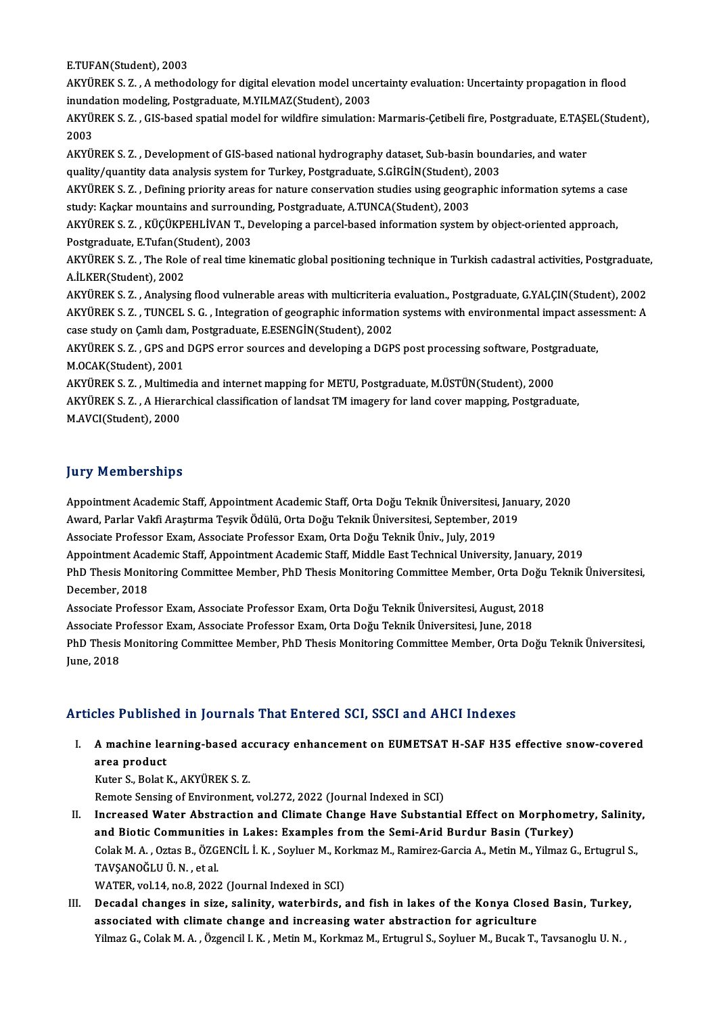E.TUFAN(Student),2003

E.TUFAN(Student), 2003<br>AKYÜREK S. Z. , A methodology for digital elevation model uncertainty evaluation: Uncertainty propagation in flood<br>invadation modeling Pestanadusta M.Y.U.MAZ(Student), 2002 E.TUFAN(Student), 2003<br>AKYÜREK S. Z. , A methodology for digital elevation model unce<br>inundation modeling, Postgraduate, M.YILMAZ(Student), 2003<br>AKYÜREK S. Z., CIS based spatial model for vildfine simulation AKYÜREK S. Z. , A methodology for digital elevation model uncertainty evaluation: Uncertainty propagation in flood<br>inundation modeling, Postgraduate, M.YILMAZ(Student), 2003<br>AKYÜREK S. Z. , GIS-based spatial model for wild

inund:<br>AKYÜ<br>2003<br>AKYÜ AKYÜREK S. Z. , GIS-based spatial model for wildfire simulation: Marmaris-Çetibeli fire, Postgraduate, E.TAŞI<br>2003<br>AKYÜREK S. Z. , Development of GIS-based national hydrography dataset, Sub-basin boundaries, and water<br>qual

2003<br>AKYÜREK S. Z. , Development of GIS-based national hydrography dataset, Sub-basin boundaries, and water quality/quantity data analysis system for Turkey, Postgraduate, S.GİRGİN(Student), 2003

AKYÜREK S. Z. , Defining priority areas for nature conservation studies using geographic information sytems a case<br>study: Kaçkar mountains and surrounding, Postgraduate, A.TUNCA(Student), 2003 AKYÜREK S. Z. , Defining priority areas for nature conservation studies using geographic information sytems a cas<br>study: Kaçkar mountains and surrounding, Postgraduate, A.TUNCA(Student), 2003<br>AKYÜREK S. Z. , KÜÇÜKPEHLİVAN

study: Kaçkar mountains and surrounce<br>AKYÜREK S. Z. , KÜÇÜKPEHLİVAN T., D<br>Postgraduate, E.Tufan(Student), 2003<br>AKYÜPEK S. Z., The Bele of real time k AKYÜREK S. Z. , KÜÇÜKPEHLİVAN T., Developing a parcel-based information system by object-oriented approach,<br>Postgraduate, E.Tufan(Student), 2003<br>AKYÜREK S. Z. , The Role of real time kinematic global positioning technique

Postgraduate, E.Tufan(Student), 2003<br>AKYÜREK S. Z. , The Role of real time kinematic global positioning technique in Turkish cadastral activities, Postgraduate,<br>A.İLKER(Student), 2002 AKYÜREK S. Z. , The Role of real time kinematic global positioning technique in Turkish cadastral activities, Postgraduate<br>A.İLKER(Student), 2002<br>AKYÜREK S. Z. , Analysing flood vulnerable areas with multicriteria evaluati

A.İLKER(Student), 2002<br>AKYÜREK S. Z. , Analysing flood vulnerable areas with multicriteria evaluation., Postgraduate, G.YALÇIN(Student), 2002<br>AKYÜREK S. Z. , TUNCEL S. G. , Integration of geographic information systems wit AKYÜREK S. Z. , Analysing flood vulnerable areas with multicriteria<br>AKYÜREK S. Z. , TUNCEL S. G. , Integration of geographic information<br>case study on Çamlı dam, Postgraduate, E.ESENGİN(Student), 2002<br>AKYÜREK S. Z. , CBS a AKYÜREK S. Z. , TUNCEL S. G. , Integration of geographic information systems with environmental impact assessment: A case study on Çamlı dam, Postgraduate, E.ESENGİN(Student), 2002<br>AKYÜREK S. Z. , GPS and DGPS error source case study on Çamlı dam, Postgraduate, E.ESENGİN(Student), 2002

AKYÜREK S. Z. , GPS and DGPS error sources and developing a DGPS post processing software, Postg<br>M.OCAK(Student), 2001<br>AKYÜREK S. Z. , Multimedia and internet mapping for METU, Postgraduate, M.ÜSTÜN(Student), 2000<br>AKYÜREK

AKYÜREK S. Z., A Hierarchical classification of landsat TM imagery for land cover mapping, Postgraduate,<br>M.AVCI(Student), 2000 AKYÜREK S. Z. , Multime<br>AKYÜREK S. Z. , A Hieraı<br>M.AVCI(Student), 2000

### **Jury Memberships**

**Jury Memberships**<br>Appointment Academic Staff, Appointment Academic Staff, Orta Doğu Teknik Üniversitesi, January, 2020<br>August Rarlar Valsi Arasturma Tesvik Ödülü, Orta Doğu Teknik Üniversitesi, Santamber, 2019 Jary Trommorumpu<br>Appointment Academic Staff, Appointment Academic Staff, Orta Doğu Teknik Üniversitesi, Janu<br>Award, Parlar Vakfi Araştırma Teşvik Ödülü, Orta Doğu Teknik Üniversitesi, September, 2019<br>Assesiste Brefessor Ev Appointment Academic Staff, Appointment Academic Staff, Orta Doğu Teknik Üniversitesi,<br>Award, Parlar Vakfi Araştırma Teşvik Ödülü, Orta Doğu Teknik Üniversitesi, September, 2<br>Associate Professor Exam, Associate Professor E Award, Parlar Vakfi Araştırma Teşvik Ödülü, Orta Doğu Teknik Üniversitesi, September, 2019<br>Associate Professor Exam, Associate Professor Exam, Orta Doğu Teknik Üniv., July, 2019<br>Appointment Academic Staff, Appointment Acad

Associate Professor Exam, Associate Professor Exam, Orta Doğu Teknik Üniv., July, 2019<br>Appointment Academic Staff, Appointment Academic Staff, Middle East Technical University, January, 2019<br>PhD Thesis Monitoring Committee Appointment Aca<br>PhD Thesis Monit<br>December, 2018<br>Assasiate Profess PhD Thesis Monitoring Committee Member, PhD Thesis Monitoring Committee Member, Orta Doğu<br>December, 2018<br>Associate Professor Exam, Associate Professor Exam, Orta Doğu Teknik Üniversitesi, August, 2018<br>Associate Professor E

December, 2018<br>Associate Professor Exam, Associate Professor Exam, Orta Doğu Teknik Üniversitesi, August, 2018

Associate Professor Exam, Associate Professor Exam, Orta Doğu Teknik Üniversitesi, June, 2018

PhD Thesis Monitoring Committee Member, PhD Thesis Monitoring Committee Member, Orta Doğu Teknik Üniversitesi,<br>June, 2018

#### Articles Published in Journals That Entered SCI, SSCI and AHCI Indexes

rticles Published in Journals That Entered SCI, SSCI and AHCI Indexes<br>I. A machine learning-based accuracy enhancement on EUMETSAT H-SAF H35 effective snow-covered<br>area product A machine lea<br>area product<br><sup>Kutor S.</sup> Bolat l A machine learning-based ac<br>area product<br>Kuter S., Bolat K., AKYÜREK S. Z.<br>Bomete Sensing of Environment area product<br>Kuter S., Bolat K., AKYÜREK S. Z.<br>Remote Sensing of Environment, vol.272, 2022 (Journal Indexed in SCI)

II. Increased Water Abstraction and Climate Change Have Substantial Effect on Morphometry, Salinity, and Biotic Communities in Lakes: Examples fromthe Semi-Arid Burdur Basin (Turkey) Increased Water Abstraction and Climate Change Have Substantial Effect on Morphometry, Salinity<br>and Biotic Communities in Lakes: Examples from the Semi-Arid Burdur Basin (Turkey)<br>Colak M. A. , Oztas B., ÖZGENCİL İ. K. , So and Biotic Communitie<br>Colak M. A. , Oztas B., ÖZG<br>TAVŞANOĞLU Ü. N. , et al.<br>WATEP .val 14, po 8, 2023 Colak M. A. , Oztas B., ÖZGENCİL İ. K. , Soyluer M., Ko<br>TAVŞANOĞLU Ü. N. , et al.<br>WATER, vol.14, no.8, 2022 (Journal Indexed in SCI)<br>Pesadal shanges in siye, salinity, waterhinde

TAVŞANOĞLU Ü. N. , et al.<br>WATER, vol.14, no.8, 2022 (Journal Indexed in SCI)<br>III. Decadal changes in size, salinity, waterbirds, and fish in lakes of the Konya Closed Basin, Turkey,<br>2000 cisted with climate change and WATER, vol.14, no.8, 2022 (Journal Indexed in SCI)<br>Decadal changes in size, salinity, waterbirds, and fish in lakes of the Konya Close<br>associated with climate change and increasing water abstraction for agriculture<br><sup>Vilmaz</sup> Decadal changes in size, salinity, waterbirds, and fish in lakes of the Konya Closed Basin, Turkey<br>associated with climate change and increasing water abstraction for agriculture<br>Yilmaz G., Colak M. A. , Özgencil I. K. , M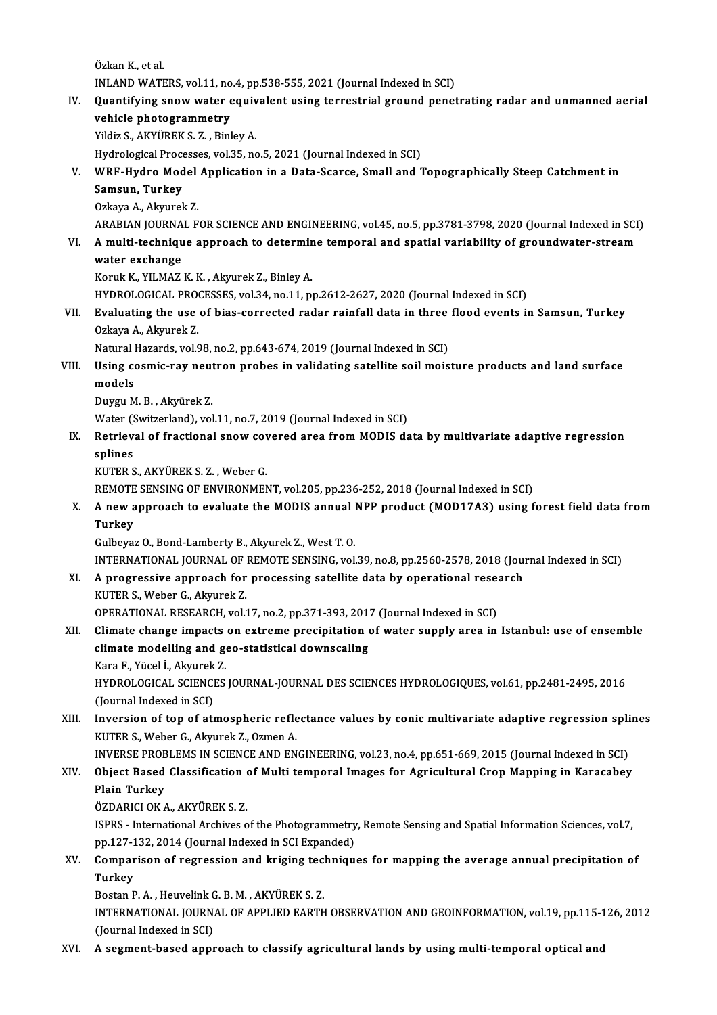Özkan K, et al. Özkan K., et al.<br>INLAND WATERS, vol.11, no.4, pp.538-555, 2021 (Journal Indexed in SCI)<br>Quantifying spow water equivalent using terrestrial ground penet

IV. Quantifying snowwater equivalent using terrestrial ground penetrating radar and unmanned aerial **INLAND WATERS, vol.11, no<br>Quantifying snow water &<br>vehicle photogrammetry**<br>vildig S. A*V*VÜDEV S. 7. Binl Yildiz S., AKYÜREK S. Z., Binley A.

Hydrological Processes, vol.35, no.5, 2021 (Journal Indexed in SCI)

# Yildiz S., AKYÜREK S. Z. , Binley A.<br>Hydrological Processes, vol.35, no.5, 2021 (Journal Indexed in SCI)<br>V. WRF-Hydro Model Application in a Data-Scarce, Small and Topographically Steep Catchment in<br>Sameun Turkey Hydrological Proce<br>WRF-Hydro Mod<br>Samsun, Turkey<br>Orkeye A Algurel

WRF-Hydro Model<br>Samsun, Turkey<br>Ozkaya A., Akyurek Z.<br>ARARIAN JOURNAL E

Samsun, Turkey<br>Ozkaya A., Akyurek Z.<br>ARABIAN JOURNAL FOR SCIENCE AND ENGINEERING, vol.45, no.5, pp.3781-3798, 2020 (Journal Indexed in SCI)<br>A. multi-technique annreach to determine temperal and enetial warishility of groun

Ozkaya A., Akyurek Z.<br>ARABIAN JOURNAL FOR SCIENCE AND ENGINEERING, vol.45, no.5, pp.3781-3798, 2020 (Journal Indexed in SCI<br>VI. A multi-technique approach to determine temporal and spatial variability of groundwater-st ARABIAN JOURNA<br>A multi-techniqu<br>water exchange<br>Komk K-YU MAZ A multi-technique approach to determin<br>water exchange<br>Koruk K., YILMAZ K. K. , Akyurek Z., Binley A.<br>HYDBOLOCICAL PROCESSES val 24, no 11, n

- water exchange<br>Koruk K., YILMAZ K. K. , Akyurek Z., Binley A.<br>HYDROLOGICAL PROCESSES, vol.34, no.11, pp.2612-2627, 2020 (Journal Indexed in SCI)<br>Evolusting the use of biss serrested rader reinfell date in three fleed syent
- Koruk K., YILMAZ K. K. , Akyurek Z., Binley A.<br>HYDROLOGICAL PROCESSES, vol.34, no.11, pp.2612-2627, 2020 (Journal Indexed in SCI)<br>VII. Evaluating the use of bias-corrected radar rainfall data in three flood events in S HYDROLOGICAL PRO<br>**Evaluating the use**<br>Ozkaya A., Akyurek Z.<br>Natural Harards val S Evaluating the use of bias-corrected radar rainfall data in three<br>Ozkaya A., Akyurek Z.<br>Natural Hazards, vol.98, no.2, pp.643-674, 2019 (Journal Indexed in SCI)<br>Haing coomic noy noutron probos in volidating satellite soil

## Ozkaya A., Akyurek Z.<br>Natural Hazards, vol.98, no.2, pp.643-674, 2019 (Journal Indexed in SCI)<br>VIII. Using cosmic-ray neutron probes in validating satellite soil moisture products and land surface<br>models Natural<br>Using co<br>models<br>Duygu M Using cosmic-ray neut<br>models<br>Duygu M. B., Akyürek Z.<br>Water (Suitrerland), vol

models<br>Duygu M. B. , Akyürek Z.<br>Water (Switzerland), vol.11, no.7, 2019 (Journal Indexed in SCI)<br>Betrieval of frastianal snow severed area from MODIS de

## Duygu M. B., Akyürek Z.<br>Water (Switzerland), vol.11, no.7, 2019 (Journal Indexed in SCI)<br>IX. Retrieval of fractional snow covered area from MODIS data by multivariate adaptive regression<br>splines Water (<mark>)</mark><br>Retriev<br>splines<br><sup>VUTED</sup> 9 splines<br>KUTER S., AKYÜREK S. Z. , Weber G.<br>REMOTE SENSING OF ENVIRONMENT, vol.205, pp.236-252, 2018 (Journal Indexed in SCI)<br>A new annreach to evoluate the MODIS annual NBB product (MOD17A2) using f

KUTERS.,AKYÜREKS.Z. ,WeberG.

## X. A new approach to evaluate the MODIS annual NPP product (MOD17A3) using forest field data from<br>Turkev REMOTE<br>**A** new a<br>Turkey Turkey<br>Gulbeyaz O., Bond-Lamberty B., Akyurek Z., West T. O.<br>INTERNATIONAL JOURNAL OF REMOTE SENSING, vol.39, no.8, pp.2560-2578, 2018 (Journal Indexed in SCI)<br>A progressive enproash for prosessing satellite data by eperat

GulbeyazO.,Bond-LambertyB.,AkyurekZ.,WestT.O.

Gulbeyaz O., Bond-Lamberty B., Akyurek Z., West T. O.<br>INTERNATIONAL JOURNAL OF REMOTE SENSING, vol.39, no.8, pp.2560-2578, 2018 (Jou:<br>XI. A progressive approach for processing satellite data by operational research<br>VUTER S INTERNATIONAL JOURNAL OF 1<br>A progressive approach for<br>KUTER S., Weber G., Akyurek Z.<br>OPERATIONAL PESEARCH vel 1 A progressive approach for processing satellite data by operational rese:<br>KUTER S., Weber G., Akyurek Z.<br>OPERATIONAL RESEARCH, vol.17, no.2, pp.371-393, 2017 (Journal Indexed in SCI)<br>Climate change impects on extreme preci

## KUTER S., Weber G., Akyurek Z.<br>OPERATIONAL RESEARCH, vol.17, no.2, pp.371-393, 2017 (Journal Indexed in SCI)<br>XII. Climate change impacts on extreme precipitation of water supply area in Istanbul: use of ensemble<br>climate mo OPERATIONAL RESEARCH, vol.17, no.2, pp.371-393, 201<br>Climate change impacts on extreme precipitation of<br>climate modelling and geo-statistical downscaling<br>Kana E. Väsel L. Almunak 7 Climate change impacts<br>climate modelling and ge<br>Kara F., Yücel İ., Akyurek Z.<br>HYDROLOCICAL SCIENCES Kara F., Yücel İ., Akyurek Z.

climate modelling and geo-statistical downscaling<br>Kara F., Yücel İ., Akyurek Z.<br>HYDROLOGICAL SCIENCES JOURNAL-JOURNAL DES SCIENCES HYDROLOGIQUES, vol.61, pp.2481-2495, 2016<br>(Journal Indexed in SCI) HYDROLOGICAL SCIENCES JOURNAL-JOURNAL DES SCIENCES HYDROLOGIQUES, vol.61, pp.2481-2495, 2016<br>(Journal Indexed in SCI)<br>XIII. Inversion of top of atmospheric reflectance values by conic multivariate adaptive regression splin

(Journal Indexed in SCI)<br>Inversion of top of atmospheric refle<br>KUTER S., Weber G., Akyurek Z., Ozmen A.<br>INVERSE PROPLEMS IN SCIENCE AND EN Inversion of top of atmospheric reflectance values by conic multivariate adaptive regression spli<br>KUTER S., Weber G., Akyurek Z., Ozmen A.<br>INVERSE PROBLEMS IN SCIENCE AND ENGINEERING, vol.23, no.4, pp.651-669, 2015 (Journa

## KUTER S., Weber G., Akyurek Z., Ozmen A.<br>INVERSE PROBLEMS IN SCIENCE AND ENGINEERING, vol.23, no.4, pp.651-669, 2015 (Journal Indexed in SCI)<br>XIV. Object Based Classification of Multi temporal Images for Agricultural C **INVERSE PROE<br>Object Based<br>Plain Turkey<br>ÖZDAPICLOK /** Object Based Classification<br>Plain Turkey<br>ÖZDARICI OK A., AKYÜREK S. Z.<br>ISPPS - International Archives o

Plain Turkey<br>ÖZDARICI OK A., AKYÜREK S. Z.<br>ISPRS - International Archives of the Photogrammetry, Remote Sensing and Spatial Information Sciences, vol.7,<br>nn 127,122, 2014 (Journal Indeved in SCI Evnanded) ÖZDARICI OK A., AKYÜREK S. Z.<br>ISPRS - International Archives of the Photogrammetry<br>pp.127-132, 2014 (Journal Indexed in SCI Expanded)<br>Companison of regression and kriging techniqu ISPRS - International Archives of the Photogrammetry, Remote Sensing and Spatial Information Sciences, vol.7,<br>pp.127-132, 2014 (Journal Indexed in SCI Expanded)<br>XV. Comparison of regression and kriging techniques for mappi

# pp.127-132, 2014 (Journal Indexed in SCI Expanded)<br>Comparison of regression and kriging techniqu<br>Turkey<br>Bostan P. A. , Heuvelink G. B. M. , AKYÜREK S. Z. Comparison of regression and kriging tec.<br>Turkey<br>Bostan P. A. , Heuvelink G. B. M. , AKYÜREK S. Z.<br>INTERNATIONAL JOURNAL OF ARRUED FARTH

Turkey<br>Bostan P. A. , Heuvelink G. B. M. , AKYÜREK S. Z.<br>INTERNATIONAL JOURNAL OF APPLIED EARTH OBSERVATION AND GEOINFORMATION, vol.19, pp.115-126, 2012 Bostan P. A. , Heuvelink C<br>INTERNATIONAL JOURN.<br>(Journal Indexed in SCI)

XVI. A segment-based approach to classify agricultural lands by usingmulti-temporal optical and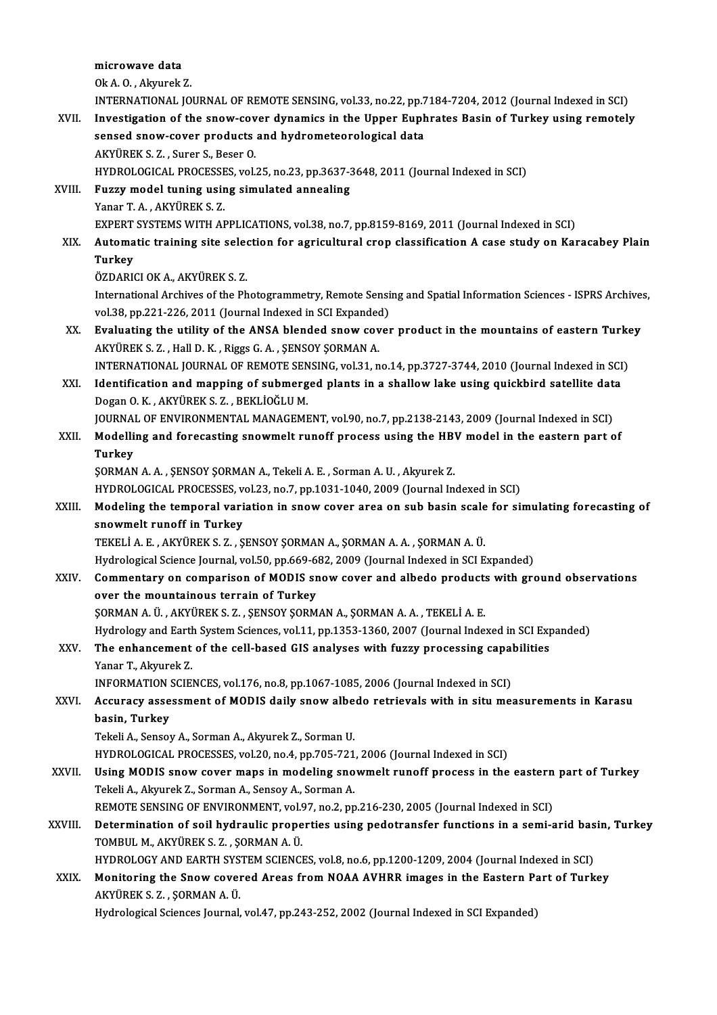microwave data OkA.O. ,AkyurekZ. INTERNATIONAL JOURNAL OF REMOTE SENSING, vol.33, no.22, pp.7184-7204, 2012 (Journal Indexed in SCI) Ok A. O. , Akyurek Z.<br>INTERNATIONAL JOURNAL OF REMOTE SENSING, vol.33, no.22, pp.7184-7204, 2012 (Journal Indexed in SCI)<br>XVII. Investigation of the snow-cover dynamics in the Upper Euphrates Basin of Turkey using remotely INTERNATIONAL JOURNAL OF REMOTE SENSING, vol.33, no.22, pp.7<br>Investigation of the snow-cover dynamics in the Upper Euph<br>sensed snow-cover products and hydrometeorological data<br>AKVIDEK S. 7. Surer S. Beser O Investigation of the snow-cov<br>sensed snow-cover products<br>AKYÜREK S. Z. , Surer S., Beser O.<br>HYDROLOCICAL BROCESSES .vol. sensed snow-cover products and hydrometeorological data<br>AKYÜREK S. Z. , Surer S., Beser O.<br>HYDROLOGICAL PROCESSES, vol.25, no.23, pp.3637-3648, 2011 (Journal Indexed in SCI)<br>Euggy model tuning using simulated annealing AKYÜREK S. Z. , Surer S., Beser O.<br>HYDROLOGICAL PROCESSES, vol.25, no.23, pp.3637-3<br>XVIII. Fuzzy model tuning using simulated annealing<br>Yanar T. A. . AKYÜREK S. Z. HYDROLOGICAL PROCESSE<br>Fuzzy model tuning usin<br>Yanar T.A., AKYÜREK S.Z.<br>EYBERT SYSTEMS WITH AL Fuzzy model tuning using simulated annealing<br>Yanar T. A. , AKYÜREK S. Z.<br>EXPERT SYSTEMS WITH APPLICATIONS, vol.38, no.7, pp.8159-8169, 2011 (Journal Indexed in SCI)<br>Automatic training site soloction for agricultural aron c Yanar T. A. , AKYÜREK S. Z.<br>EXPERT SYSTEMS WITH APPLICATIONS, vol.38, no.7, pp.8159-8169, 2011 (Journal Indexed in SCI)<br>XIX. Automatic training site selection for agricultural crop classification A case study on Karaca EXPERT<br><mark>Automa</mark><br>Turkey<br>ÖZDAPI Automatic training site selectricity<br>Turkey<br>ÖZDARICI OK A., AKYÜREK S. Z.<br>International Archives of the Ph Turkey<br>ÖZDARICI OK A., AKYÜREK S. Z.<br>International Archives of the Photogrammetry, Remote Sensing and Spatial Information Sciences - ISPRS Archives,<br>Vel 38, pp.221, 226, 2011 (Journal Indoved in SCI Eynanded). ÖZDARICI OK A., AKYÜREK S. Z.<br>International Archives of the Photogrammetry, Remote Sensi<br>vol.38, pp.221-226, 2011 (Journal Indexed in SCI Expanded)<br>Fyolusting the utility of the ANSA blanded anow sever International Archives of the Photogrammetry, Remote Sensing and Spatial Information Sciences - ISPRS Archives<br>vol.38, pp.221-226, 2011 (Journal Indexed in SCI Expanded)<br>XX. Evaluating the utility of the ANSA blended snow vol.38, pp.221-226, 2011 (Journal Indexed in SCI Expanded)<br>Evaluating the utility of the ANSA blended snow cover product in the mountains of eastern Turkey<br>AKYÜREK S. Z. , Hall D. K. , Riggs G. A. , ŞENSOY ŞORMAN A. Evaluating the utility of the ANSA blended snow cover product in the mountains of eastern Turke<br>AKYÜREK S. Z. , Hall D. K. , Riggs G. A. , ŞENSOY ŞORMAN A.<br>INTERNATIONAL JOURNAL OF REMOTE SENSING, vol.31, no.14, pp.3727-37 AKYÜREK S. Z., Hall D. K., Riggs G. A., ŞENSOY ŞORMAN A.<br>INTERNATIONAL JOURNAL OF REMOTE SENSING, vol.31, no.14, pp.3727-3744, 2010 (Journal Indexed in SCI<br>XXI. Identification and mapping of submerged plants in a shallow l INTERNATIONAL JOURNAL OF REMOTE SEN<br>Identification and mapping of submerg<br>Dogan O. K. , AKYÜREK S. Z. , BEKLİOĞLU M.<br>JOURNAL OF ENVIRONMENTAL MANACEME Identification and mapping of submerged plants in a shallow lake using quickbird satellite dat:<br>Dogan O. K. , AKYÜREK S. Z. , BEKLİOĞLU M.<br>JOURNAL OF ENVIRONMENTAL MANAGEMENT, vol.90, no.7, pp.2138-2143, 2009 (Journal Inde Dogan O. K., AKYÜREK S. Z., BEKLİOĞLU M.<br>JOURNAL OF ENVIRONMENTAL MANAGEMENT, vol.90, no.7, pp.2138-2143, 2009 (Journal Indexed in SCI)<br>XXII. Modelling and forecasting snowmelt runoff process using the HBV model in the eas JOURNAL OF ENVIRONMENTAL MANAGEMENT, vol.90, no.7, pp.2138-2143, 2009 (Journal Indexed in SCI) ŞORMANA.A. ,ŞENSOYŞORMANA.,TekeliA.E. ,SormanA.U. ,AkyurekZ. Turkey<br>ŞORMAN A. A. , ŞENSOY ŞORMAN A., Tekeli A. E. , Sorman A. U. , Akyurek Z.<br>HYDROLOGICAL PROCESSES, vol.23, no.7, pp.1031-1040, 2009 (Journal Indexed in SCI)<br>Modeling the temporal veriation in spow sover area on sub b SORMAN A. A. , SENSOY SORMAN A., Tekeli A. E. , Sorman A. U. , Akyurek Z.<br>HYDROLOGICAL PROCESSES, vol.23, no.7, pp.1031-1040, 2009 (Journal Indexed in SCI)<br>XXIII. Modeling the temporal variation in snow cover area on sub b HYDROLOGICAL PROCESSES, v<br>Modeling the temporal vari<br>snowmelt runoff in Turkey<br>TEVELLA E AVVÜDEVS 7 S Modeling the temporal variation in snow cover area on sub basin scale<br>snowmelt runoff in Turkey<br>TEKELİ A. E. , AKYÜREK S. Z. , ŞENSOY ŞORMAN A., ŞORMAN A. A. , ŞORMAN A. Ü.<br>Hydrologisel Ssiones Journal vel 50, np 669, 692, snowmelt runoff in Turkey<br>TEKELİ A. E. , AKYÜREK S. Z. , ŞENSOY ŞORMAN A., ŞORMAN A. A. , ŞORMAN A. Ü.<br>Hydrological Science Journal, vol.50, pp.669-682, 2009 (Journal Indexed in SCI Expanded)<br>Commontary on componison of MO TEKELİ A. E. , AKYÜREK S. Z. , ŞENSOY ŞORMAN A., ŞORMAN A. A. , ŞORMAN A. Ü.<br>Hydrological Science Journal, vol.50, pp.669-682, 2009 (Journal Indexed in SCI Expanded)<br>XXIV. Commentary on comparison of MODIS snow cover and a Hydrological Science Journal, vol.50, pp.669-6<br>Commentary on comparison of MODIS sn<br>over the mountainous terrain of Turkey<br>SOPMAN A IL ARYUDERS 7 SENSOV SOPM ŞORMAN A. Ü., AKYÜREK S. Z., ŞENSOY ŞORMAN A., ŞORMAN A. A., TEKELİ A. E. over the mountainous terrain of Turkey<br>ŞORMAN A. Ü. , AKYÜREK S. Z. , ŞENSOY ŞORMAN A., ŞORMAN A. A. , TEKELİ A. E.<br>Hydrology and Earth System Sciences, vol.11, pp.1353-1360, 2007 (Journal Indexed in SCI Expanded)<br>The enha \$0RMAN A. Ü. , AKYÜREK S. Z. , \$ENSOY \$0RMAN A., \$0RMAN A. A. , TEKELİ A. E.<br>Hydrology and Earth System Sciences, vol.11, pp.1353-1360, 2007 (Journal Indexed in SCI Exp<br>XXV. The enhancement of the cell-based GIS analyses w Hydrology and Earth<br><mark>The enhancement</mark><br>Yanar T., Akyurek Z.<br>INFOPMATION SCIE The enhancement of the cell-based GIS analyses with fuzzy processing capal<br>Yanar T., Akyurek Z.<br>INFORMATION SCIENCES, vol.176, no.8, pp.1067-1085, 2006 (Journal Indexed in SCI)<br>Acaunacy assessment of MODIS daily anaw albed Yanar T., Akyurek Z.<br>INFORMATION SCIENCES, vol.176, no.8, pp.1067-1085, 2006 (Journal Indexed in SCI)<br>XXVI. Accuracy assessment of MODIS daily snow albedo retrievals with in situ measurements in Karasu<br>basin, Turkey INFORMATION SCIENCES, vol.176, no.8, pp.1067-1085, 2006 (Journal Indexed in SCI) Tekeli A., Sensoy A., Sorman A., Akyurek Z., Sorman U. HYDROLOGICAL PROCESSES, vol.20, no.4, pp.705-721, 2006 (Journal Indexed in SCI) Tekeli A., Sensoy A., Sorman A., Akyurek Z., Sorman U.<br>HYDROLOGICAL PROCESSES, vol.20, no.4, pp.705-721, 2006 (Journal Indexed in SCI)<br>XXVII. Using MODIS snow cover maps in modeling snowmelt runoff process in the eastern p HYDROLOGICAL PROCESSES, vol.20, no.4, pp.705-721<br>Using MODIS snow cover maps in modeling sno<br>Tekeli A., Akyurek Z., Sorman A., Sensoy A., Sorman A.<br>PEMOTE SENSING OF ENVIRONMENT vol.07, no.2, no Using MODIS snow cover maps in modeling snowmelt runoff process in the eastern<br>Tekeli A., Akyurek Z., Sorman A., Sensoy A., Sorman A.<br>REMOTE SENSING OF ENVIRONMENT, vol.97, no.2, pp.216-230, 2005 (Journal Indexed in SCI)<br>D

- Tekeli A., Akyurek Z., Sorman A., Sensoy A., Sorman A.<br>REMOTE SENSING OF ENVIRONMENT, vol.97, no.2, pp.216-230, 2005 (Journal Indexed in SCI)<br>XXVIII. Determination of soil hydraulic properties using pedotransfer functi REMOTE SENSING OF ENVIRONMENT, vol.97, no.2, pp.216-230, 2005 (Journal Indexed in SCI)<br>Determination of soil hydraulic properties using pedotransfer functions in a semi-arid bas<br>TOMBUL M., AKYÜREK S. Z. , ŞORMAN A. Ü.<br>HYDR Determination of soil hydraulic properties using pedotransfer functions in a semi-arid bas<br>TOMBUL M., AKYÜREK S. Z. , ŞORMAN A. Ü.<br>HYDROLOGY AND EARTH SYSTEM SCIENCES, vol.8, no.6, pp.1200-1209, 2004 (Journal Indexed in SC TOMBUL M., AKYÜREK S. Z. , ŞORMAN A. Ü.<br>HYDROLOGY AND EARTH SYSTEM SCIENCES, vol.8, no.6, pp.1200-1209, 2004 (Journal Indexed in SCI)<br>XXIX. Monitoring the Snow covered Areas from NOAA AVHRR images in the Eastern Part of Tu
- HYDROLOGY AND EARTH SYS<br>Monitoring the Snow cover<br>AKYÜREK S. Z. , ŞORMAN A. Ü.<br>Hydnologiaal Sciances Journal Monitoring the Snow covered Areas from NOAA AVHRR images in the Eastern P:<br>AKYÜREK S. Z. , ŞORMAN A. Ü.<br>Hydrological Sciences Journal, vol.47, pp.243-252, 2002 (Journal Indexed in SCI Expanded)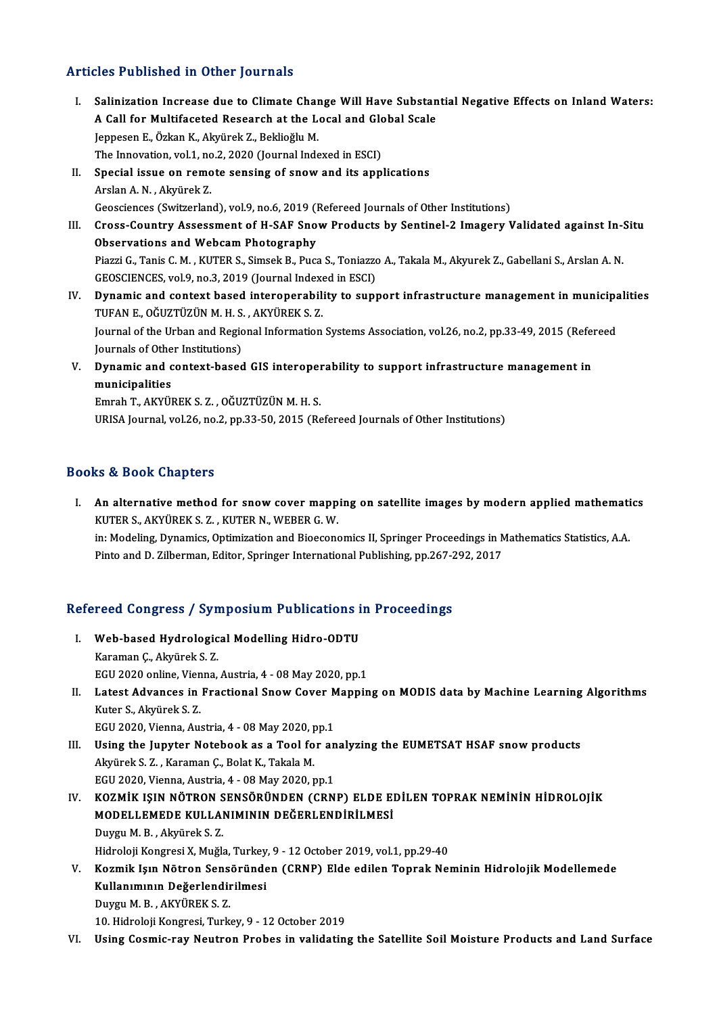### Articles Published in Other Journals

rticles Published in Other Journals<br>I. Salinization Increase due to Climate Change Will Have Substantial Negative Effects on Inland Waters:<br>A Call for Multifoested Bessarsh at the Legal and Clabel Seale Steed Published in Stater Journals<br>Salinization Increase due to Climate Change Will Have Substan<br>A Call for Multifaceted Research at the Local and Global Scale Jeppesen E., Özkan K., Akyürek Z., Beklioğlu M.<br>The Innovation, vol.1, no.2, 2020 (Journal Indexed in ESCI) A Call for Multifaceted Research at the Local and Global Scale Jeppesen E., Özkan K., Akyürek Z., Beklioğlu M.<br>The Innovation, vol.1, no.2, 2020 (Journal Indexed in ESCI)<br>II. Special issue on remote sensing of snow and its applications<br>Arelan A.N., Akrünek Z. The Innovation, vol.1, nc<br>Special issue on remo<br>Arslan A. N. , Akyürek Z.<br>Ceossionees (Suitrerlan Special issue on remote sensing of snow and its applications<br>Arslan A. N. , Akyürek Z.<br>Geosciences (Switzerland), vol.9, no.6, 2019 (Refereed Journals of Other Institutions)<br>Cross Country Assessment of H. SAE Snow Products Arslan A. N. , Akyürek Z.<br>Geosciences (Switzerland), vol.9, no.6, 2019 (Refereed Journals of Other Institutions)<br>III. Cross-Country Assessment of H-SAF Snow Products by Sentinel-2 Imagery Validated against In-Situ<br>Observat Geosciences (Switzerland), vol.9, no.6, 2019 (I<br>Cross-Country Assessment of H-SAF Sno<br>Observations and Webcam Photography<br>Piarri C. Tanis C. M., KUTER S. Simeel: P. Pugs

Cross-Country Assessment of H-SAF Snow Products by Sentinel-2 Imagery Validated against In-9<br>Observations and Webcam Photography<br>Piazzi G., Tanis C. M. , KUTER S., Simsek B., Puca S., Toniazzo A., Takala M., Akyurek Z., Ga Observations and Webcam Photography<br>Piazzi G., Tanis C. M. , KUTER S., Simsek B., Puca S., Toniazzo A., Takala M., Akyurek Z., Gabellani S., Arslan A. N.<br>GEOSCIENCES, vol.9, no.3, 2019 (Journal Indexed in ESCI) Piazzi G., Tanis C. M. , KUTER S., Simsek B., Puca S., Toniazzo A., Takala M., Akyurek Z., Gabellani S., Arslan A. N.<br>GEOSCIENCES, vol.9, no.3, 2019 (Journal Indexed in ESCI)<br>IV. Dynamic and context based interoperability

- GEOSCIENCES, vol.9, no.3, 2019 (Journal Indexe<br>Dynamic and context based interoperabili<br>TUFAN E., OĞUZTÜZÜN M. H. S. , AKYÜREK S. Z.<br>Journal of the Urban and Begional Information Dynamic and context based interoperability to support infrastructure management in municipa<br>TUFAN E., OĞUZTÜZÜN M. H. S. , AKYÜREK S. Z.<br>Journal of the Urban and Regional Information Systems Association, vol.26, no.2, pp.3 TUFAN E., OĞUZTÜZÜN M. H. S. , AKYÜREK S. Z.<br>Journal of the Urban and Regional Information Systems Association, vol.26, no.2, pp.33-49, 2015 (Refereed<br>Journals of Other Institutions) Journal of the Urban and Regional Information Systems Association, vol.26, no.2, pp.33-49, 2015 (Referoption J<br>Journals of Other Institutions)<br>V. Dynamic and context-based GIS interoperability to support infrastructure man
- Journals of Othe<br>Dynamic and c<br>municipalities<br>Emreh T. Arviu Dynamic and context-based GIS interoper<br>municipalities<br>Emrah T., AKYÜREK S. Z. , OĞUZTÜZÜN M. H. S.<br>URISA Journal val 26 no 2 nn 22 50 2015 (Re

municipalities<br>Emrah T., AKYÜREK S. Z. , OĞUZTÜZÜN M. H. S.<br>URISA Journal, vol.26, no.2, pp.33-50, 2015 (Refereed Journals of Other Institutions)

### Books&Book Chapters

I. An alternative method for snow cover mapping on satellite images by modern applied mathematics KUTERS.,AKYÜREKS.Z. ,KUTERN.,WEBERG.W. An alternative method for snow cover mapping on satellite images by modern applied mathematical Murrent Republic<br>KUTER S., AKYÜREK S. Z. , KUTER N., WEBER G. W.<br>in: Modeling, Dynamics, Optimization and Bioeconomics II, Spr KUTER S., AKYÜREK S. Z. , KUTER N., WEBER G. W.<br>in: Modeling, Dynamics, Optimization and Bioeconomics II, Springer Proceedings in N<br>Pinto and D. Zilberman, Editor, Springer International Publishing, pp.267-292, 2017

# rmw and D. Zhoerman, Editor, Springer international Publishing, pp.267-2<br>Refereed Congress / Symposium Publications in Proceedings

- efereed Congress / Symposium Publications i<br>I. Web-based Hydrological Modelling Hidro-ODTU<br>Karaman C. Alwänsk S. 7 I. Web-based Hydrological Modelling Hidro-ODTU<br>Karaman C., Akyürek S. Z. EGU2020 online,Vienna,Austria,4 -08May2020,pp.1
- Karaman Ç., Akyürek S. Z.<br>EGU 2020 online, Vienna, Austria, 4 08 May 2020, pp.1<br>II. Latest Advances in Fractional Snow Cover Mapping on MODIS data by Machine Learning Algorithms<br>Kutor S. Algüinek S. 7 Kuter S., Akyürek S. Z.<br>EGU 2020, Vienna, Austria, 4 - 08 May 2020, pp.1 Latest Advances in Fractional Snow Cover M<br>Kuter S., Akyürek S. Z.<br>EGU 2020, Vienna, Austria, 4 - 08 May 2020, pp.1<br>Haing the Junyter Netabook 28.2 Tool for an Kuter S., Akyürek S. Z.<br>EGU 2020, Vienna, Austria, 4 - 08 May 2020, pp.1<br>III. Using the Jupyter Notebook as a Tool for analyzing the EUMETSAT HSAF snow products<br>Alrünak S. Z., Karaman G. Balat K. Takala M.
- Akyürek S. Z. , Karaman Ç., Bolat K., Takala M.<br>EGU 2020, Vienna, Austria, 4 08 May 2020, pp.1 Using the Jupyter Notebook as a Tool for an<br>Akyürek S. Z. , Karaman Ç., Bolat K., Takala M.<br>EGU 2020, Vienna, Austria, 4 - 08 May 2020, pp.1<br>KOZMİK ISIN NÖTRON SENSÖRÜNDEN (CPN

Akyürek S. Z. , Karaman Ç., Bolat K., Takala M.<br>EGU 2020, Vienna, Austria, 4 - 08 May 2020, pp.1<br>IV. KOZMİK IŞIN NÖTRON SENSÖRÜNDEN (CRNP) ELDE EDİLEN TOPRAK NEMİNİN HİDROLOJİK<br>MODELLEMEDE KULLANIMININ DEĞERLENDİRI MES EGU 2020, Vienna, Austria, 4 - 08 May 2020, pp.1<br>KOZMİK IŞIN NÖTRON SENSÖRÜNDEN (CRNP) ELDE EI<br>MODELLEMEDE KULLANIMININ DEĞERLENDİRİLMESİ<br>Duygu M. B., Algünek S. 7 KOZMİK IŞIN NÖTRON S<br>MODELLEMEDE KULLAI<br>Duygu M. B. , Akyürek S. Z.<br>Hidroloji Kongresi X. Muğl MODELLEMEDE KULLANIMININ DEĞERLENDİRİLMESİ<br>Duygu M. B. , Akyürek S. Z.<br>Hidroloji Kongresi X, Muğla, Turkey, 9 - 12 October 2019, vol.1, pp.29-40<br>Kozmik Lava Nötron Sonsönünden (CPNP), Elde edilen Tonrak Nei

Duygu M. B., Akyürek S. Z.<br>Hidroloji Kongresi X, Muğla, Turkey, 9 - 12 October 2019, vol.1, pp.29-40<br>V. Kozmik Işın Nötron Sensöründen (CRNP) Elde edilen Toprak Neminin Hidrolojik Modellemede<br>Kullanımının Değerlendirilmesi Hidroloji Kongresi X, Muğla, Turkey<br>Kozmik Işın Nötron Sensöründe<br>Kullanımının Değerlendirilmesi<br>Duvgu M. B. Akyüpek S. 7 DuyguM.B. ,AKYÜREKS.Z.

10. Hidroloji Kongresi, Turkey, 9 - 12 October 2019

VI. Using Cosmic-ray Neutron Probes in validating the Satellite Soil Moisture Products and Land Surface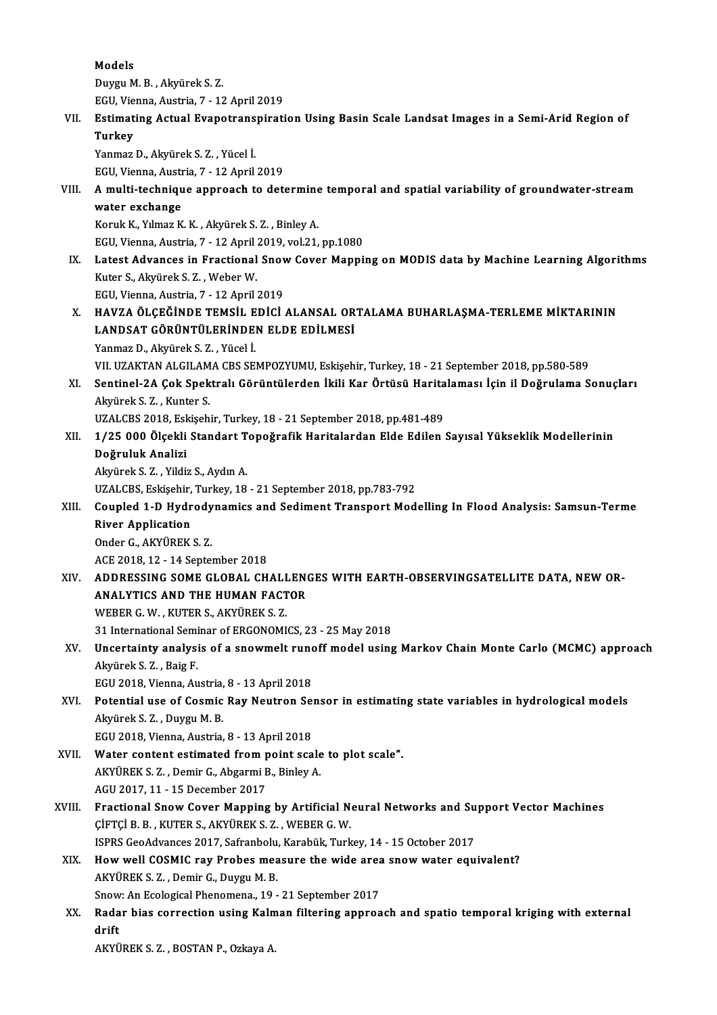Models

DuyguM.B. ,AkyürekS.Z.

EGU,Vienna,Austria,7 -12April2019

## Duygu M. B. , Akyürek S. Z.<br>EGU, Vienna, Austria, 7 - 12 April 2019<br>VII. Estimating Actual Evapotranspiration Using Basin Scale Landsat Images in a Semi-Arid Region of<br>Turkey EGU, Vie<br><mark>Estimat</mark><br>Turkey<br><sup>Vanmaz</sup> Estimating Actual Evapotrans<br>Turkey<br>Yanmaz D., Akyürek S. Z. , Yücel İ.<br>FCU Vienna Austria 7 - 12 Anril

Turkey<br>Yanmaz D., Akyürek S. Z. , Yücel İ.<br>EGU, Vienna, Austria, 7 - 12 April 2019<br>A. multi, technique annreach te dett

Yanmaz D., Akyürek S. Z. , Yücel İ.<br>EGU, Vienna, Austria, 7 - 12 April 2019<br>VIII. A multi-technique approach to determine temporal and spatial variability of groundwater-stream<br>water exchange EGU, Vienna, Austr<br>A multi-techniqu<br>water exchange<br>Koruk K. Vilmag K water exchange<br>Koruk K., Yılmaz K. K. , Akyürek S. Z. , Binley A.<br>EGU, Vienna, Austria, 7 - 12 April 2019, vol.21, pp.1080<br>Latest Advanses in Exastional Snow Gover Manni:

Koruk K., Yılmaz K. K., Akyürek S. Z., Binley A.

IX. Latest Advances in Fractional Snow Cover Mapping on MODIS data by Machine Learning Algorithms<br>Kuter S., Akyürek S. Z., Weber W. EGU, Vienna, Austria, 7 - 12 April<br>Latest Advances in Fractional<br>Kuter S., Akyürek S. Z. , Weber W.<br>ECU Vienna, Austria 7, 12 April.

EGU,Vienna,Austria,7 -12April2019

Kuter S., Akyürek S. Z. , Weber W.<br>EGU, Vienna, Austria, 7 - 12 April 2019<br>X. – HAVZA ÖLÇEĞİNDE TEMSİL EDİCİ ALANSAL ORTALAMA BUHARLAŞMA-TERLEME MİKTARININ<br>LANDSAT GÖRÜNTÜLERİNDEN ELDE EDİLMESİ EGU, Vienna, Austria, 7 - 12 April 2019<br>HAVZA ÖLÇEĞİNDE TEMSİL EDİCİ ALANSAL OR<br>LANDSAT GÖRÜNTÜLERİNDEN ELDE EDİLMESİ<br>Yanmaz D. Alzünek S. 7 - Vüseli HAVZA ÖLÇEĞİNDE TEMSİL E<br>LANDSAT GÖRÜNTÜLERİNDE<br>Yanmaz D., Akyürek S. Z. , Yücel İ.<br>VIL IIZAKTAN ALGU AMA CES SE LANDSAT GÖRÜNTÜLERİNDEN ELDE EDİLMESİ<br>Yanmaz D., Akyürek S. Z. , Yücel İ.<br>VII. UZAKTAN ALGILAMA CBS SEMPOZYUMU, Eskişehir, Turkey, 18 - 21 September 2018, pp.580-589

Yanmaz D., Akyürek S. Z. , Yücel İ.<br>VII. UZAKTAN ALGILAMA CBS SEMPOZYUMU, Eskişehir, Turkey, 18 - 21 September 2018, pp.580-589<br>XI. Sentinel-2A Çok Spektralı Görüntülerden İkili Kar Örtüsü Haritalaması İçin il Doğrulam VII. UZAKTAN ALGILAM<br>Sentinel-2A Çok Spek<br>Akyürek S. Z. , Kunter S.<br>UZALCBS 2019, Feliseb Sentinel-2A Çok Spektralı Görüntülerden İkili Kar Örtüsü Harita<br>Akyürek S. Z. , Kunter S.<br>UZALCBS 2018, Eskişehir, Turkey, 18 - 21 September 2018, pp.481-489<br>1 /25 000 Ölsekli Standart Teneğrefik Haritalardan Elde Edilen ( Akyürek S. Z. , Kunter S.<br>1998 - UZALCBS 2018, Eskişehir, Turkey, 18 - 21 September 2018, pp.481-489<br>1998 - XII. 1/25 000 Ölçekli Standart Topoğrafik Haritalardan Elde Edilen Sayısal Yükseklik Modellerinin

Doğruluk Analizi Doğruluk Analizi<br>Akyürek S. Z. , Yildiz S., Aydın A.<br>UZALCBS, Eskişehir, Turkey, 18 - 21 September 2018, pp.783-792<br>Coupled 1. D. Hydrodynamics and Sediment Transport Med

AkyürekS.Z. ,Yildiz S.,AydınA.

## Akyürek S. Z. , Yildiz S., Aydın A.<br>UZALCBS, Eskişehir, Turkey, 18 - 21 September 2018, pp.783-792<br>XIII. Coupled 1-D Hydrodynamics and Sediment Transport Modelling In Flood Analysis: Samsun-Terme<br>River Annlisation UZALCBS, Eskişehir,<br>Coupled 1-D Hydr<br>River Application<br>Onder C. AKYÜBEK Coupled 1-D Hydrody<br>River Application<br>Onder G., AKYÜREK S. Z.<br>ACE 2018 12 - 14 Sontol River Application<br>Onder G., AKYÜREK S. Z.<br>ACE 2018, 12 - 14 September 2018

## Onder G., AKYÜREK S. Z.<br>ACE 2018, 12 - 14 September 2018<br>XIV. ADDRESSING SOME GLOBAL CHALLENGES WITH EARTH-OBSERVINGSATELLITE DATA, NEW OR-<br>ANALYTICS AND THE HUMAN EACTOR ACE 2018, 12 - 14 September 2018<br>ADDRESSING SOME GLOBAL CHALLEN<br>ANALYTICS AND THE HUMAN FACTOR<br>WEBER C. W., WITER S. ARVIDER S. 7 ANALYTICS AND THE HUMAN FACTOR<br>WEBER G.W., KUTER S., AKYÜREK S. Z.

31 International Seminar of ERGONOMICS, 23 - 25 May 2018

WEBER G. W. , KUTER S., AKYÜREK S. Z.<br>31 International Seminar of ERGONOMICS, 23 - 25 May 2018<br>XV. Uncertainty analysis of a snowmelt runoff model using Markov Chain Monte Carlo (MCMC) approach<br>Alprivel: S. 7 Peig E 31 International Semi<br>Uncertainty analysi<br>Akyürek S. Z. , Baig F.<br>ECU 2019 Vienne, Au Uncertainty analysis of a snowmelt rund<br>Akyürek S. Z. , Baig F.<br>EGU 2018, Vienna, Austria, 8 - 13 April 2018<br>Petential use of Cosmia Bay Neutren Se

Akyürek S. Z. , Baig F.<br>EGU 2018, Vienna, Austria, 8 - 13 April 2018<br>XVI. Potential use of Cosmic Ray Neutron Sensor in estimating state variables in hydrological models<br>Alryirek S. Z. Duygu M. P EGU 2018, Vienna, Austria, 8 - 13 April 2018<br>Potential use of Cosmic Ray Neutron Se<br>Akyürek S. Z. , Duygu M. B.<br>EGU 2018, Vienna, Austria, 8 - 13 April 2018 Potential use of Cosmic Ray Neutron Se:<br>Akyürek S. Z. , Duygu M. B.<br>EGU 2018, Vienna, Austria, 8 - 13 April 2018<br>Water content estimated from noint see

- XVII. Water content estimated from point scale to plot scale". EGU 2018, Vienna, Austria, 8 - 13 April 2018<br>Water content estimated from point scale<br>AKYÜREK S. Z. , Demir G., Abgarmi B., Binley A.<br>ACU 2017-11-15 Desember 2017 Water content estimated from p<br>AKYÜREK S. Z. , Demir G., Abgarmi E<br>AGU 2017, 11 - 15 December 2017<br>Ernstianal Snow Cover Manning
- AKYÜREK S. Z. , Demir G., Abgarmi B., Binley A.<br>AGU 2017, 11 15 December 2017<br>XVIII. Fractional Snow Cover Mapping by Artificial Neural Networks and Support Vector Machines<br>CUETCLE B. KUTER S. AKYÜREK S. 7. WERER G. W. AGU 2017, 11 - 15 December 2017<br>Fractional Snow Cover Mapping by Artificial N<br>ÇİFTÇİ B. B. , KUTER S., AKYÜREK S. Z. , WEBER G. W.<br>ISPPS Cee Advances 2017, Sefranbolu, Karabül: Turk Fractional Snow Cover Mapping by Artificial Neural Networks and Su<br>CiFTCI B. B. , KUTER S., AKYÜREK S. Z. , WEBER G. W.<br>ISPRS GeoAdvances 2017, Safranbolu, Karabük, Turkey, 14 - 15 October 2017<br>How well COSMIC nov Brobes m CIFTCI B. B., KUTER S., AKYÜREK S. Z., WEBER G. W.<br>ISPRS GeoAdvances 2017, Safranbolu, Karabük, Turkey, 14 - 15 October 2017<br>XIX. How well COSMIC ray Probes measure the wide area snow water equivalent?
- ISPRS GeoAdvances 2017, Safranbolu, Karabük, Turkey, 14 15 October 2017<br>How well COSMIC ray Probes measure the wide area snow water equ<br>AKYÜREK S. Z. , Demir G., Duygu M. B. How well COSMIC ray Probes measure the wide area<br>AKYÜREK S. Z. , Demir G., Duygu M. B.<br>Snow: An Ecological Phenomena., 19 - 21 September 2017<br>Pedan bias correction using Kalman filtoning annuas Snow: An Ecological Phenomena., 19 - 21 September 2017
- XX. Radar bias correction using Kalman filtering approach and spatio temporal kriging with external

AKYÜREKS.Z. ,BOSTANP.,OzkayaA.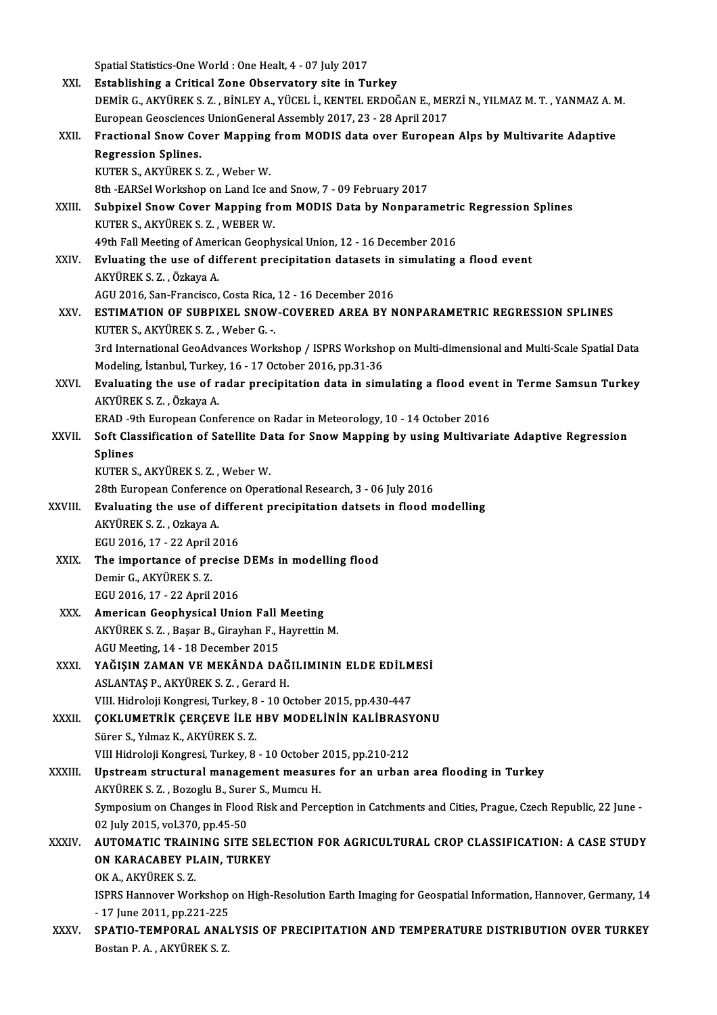Spatial Statistics-One World : One Healt, 4 - 07 July 2017<br>Establishing a Critical Zone Obecaustory site in Tu

|             | Spatial Statistics-One World : One Healt, 4 - 07 July 2017                                                                                         |
|-------------|----------------------------------------------------------------------------------------------------------------------------------------------------|
| XXI.        | Establishing a Critical Zone Observatory site in Turkey                                                                                            |
|             | DEMIR G., AKYÜREK S. Z., BINLEY A., YÜCEL İ., KENTEL ERDOĞAN E., MERZİ N., YILMAZ M. T., YANMAZ A. M.                                              |
|             | European Geosciences UnionGeneral Assembly 2017, 23 - 28 April 2017                                                                                |
| XXII.       | Fractional Snow Cover Mapping from MODIS data over European Alps by Multivarite Adaptive                                                           |
|             | <b>Regression Splines.</b>                                                                                                                         |
|             | KUTER S., AKYÜREK S. Z., Weber W.                                                                                                                  |
| XXIII.      | 8th -EARSel Workshop on Land Ice and Snow, 7 - 09 February 2017<br>Subpixel Snow Cover Mapping from MODIS Data by Nonparametric Regression Splines |
|             | KUTER S., AKYÜREK S. Z., WEBER W.                                                                                                                  |
|             | 49th Fall Meeting of American Geophysical Union, 12 - 16 December 2016                                                                             |
| XXIV.       | Evluating the use of different precipitation datasets in simulating a flood event                                                                  |
|             | AKYÜREK S.Z., Özkaya A.                                                                                                                            |
|             | AGU 2016, San-Francisco, Costa Rica, 12 - 16 December 2016                                                                                         |
| XXV         | ESTIMATION OF SUBPIXEL SNOW-COVERED AREA BY NONPARAMETRIC REGRESSION SPLINES                                                                       |
|             | KUTER S., AKYÜREK S. Z., Weber G.                                                                                                                  |
|             | 3rd International GeoAdvances Workshop / ISPRS Workshop on Multi-dimensional and Multi-Scale Spatial Data                                          |
|             | Modeling, İstanbul, Turkey, 16 - 17 October 2016, pp.31-36                                                                                         |
| XXVI.       | Evaluating the use of radar precipitation data in simulating a flood event in Terme Samsun Turkey                                                  |
|             | AKYÜREK S. Z., Özkaya A.                                                                                                                           |
|             | ERAD -9th European Conference on Radar in Meteorology, 10 - 14 October 2016                                                                        |
| XXVII.      | Soft Classification of Satellite Data for Snow Mapping by using Multivariate Adaptive Regression                                                   |
|             | <b>Splines</b>                                                                                                                                     |
|             | KUTER S., AKYÜREK S. Z., Weber W.                                                                                                                  |
|             | 28th European Conference on Operational Research, 3 - 06 July 2016<br>Evaluating the use of different precipitation datsets in flood modelling     |
| XXVIII.     | AKYÜREK S.Z., Ozkaya A.                                                                                                                            |
|             | EGU 2016, 17 - 22 April 2016                                                                                                                       |
| XXIX.       | The importance of precise DEMs in modelling flood                                                                                                  |
|             | Demir G. AKYÜREK S. Z.                                                                                                                             |
|             | EGU 2016, 17 - 22 April 2016                                                                                                                       |
| XXX.        | American Geophysical Union Fall Meeting                                                                                                            |
|             | AKYÜREK S. Z., Başar B., Girayhan F., Hayrettin M.                                                                                                 |
|             | AGU Meeting, 14 - 18 December 2015                                                                                                                 |
| XXXI.       | YAĞIŞIN ZAMAN VE MEKÂNDA DAĞILIMININ ELDE EDİLMESİ                                                                                                 |
|             | ASLANTAS P., AKYÜREK S. Z., Gerard H.                                                                                                              |
|             | VIII. Hidroloji Kongresi, Turkey, 8 - 10 October 2015, pp.430-447                                                                                  |
| XXXII.      | ÇOKLUMETRİK ÇERÇEVE İLE HBV MODELİNİN KALİBRASYONU                                                                                                 |
|             | Sürer S., Yılmaz K., AKYÜREK S. Z.                                                                                                                 |
|             | VIII Hidroloji Kongresi, Turkey, 8 - 10 October 2015, pp.210-212                                                                                   |
| XXXIII.     | Upstream structural management measures for an urban area flooding in Turkey                                                                       |
|             | AKYÜREK S. Z., Bozoglu B., Surer S., Mumcu H.                                                                                                      |
|             | Symposium on Changes in Flood Risk and Perception in Catchments and Cities, Prague, Czech Republic, 22 June -<br>02 July 2015, vol 370, pp 45-50   |
| XXXIV       | AUTOMATIC TRAINING SITE SELECTION FOR AGRICULTURAL CROP CLASSIFICATION: A CASE STUDY                                                               |
|             | ON KARACABEY PLAIN, TURKEY                                                                                                                         |
|             | OK A., AKYÜREK S. Z.                                                                                                                               |
|             | ISPRS Hannover Workshop on High-Resolution Earth Imaging for Geospatial Information, Hannover, Germany, 14                                         |
|             | - 17 June 2011, pp 221-225                                                                                                                         |
| <b>XXXV</b> | SPATIO-TEMPORAL ANALYSIS OF PRECIPITATION AND TEMPERATURE DISTRIBUTION OVER TURKEY                                                                 |
|             | Bostan P. A., AKYÜREK S. Z.                                                                                                                        |
|             |                                                                                                                                                    |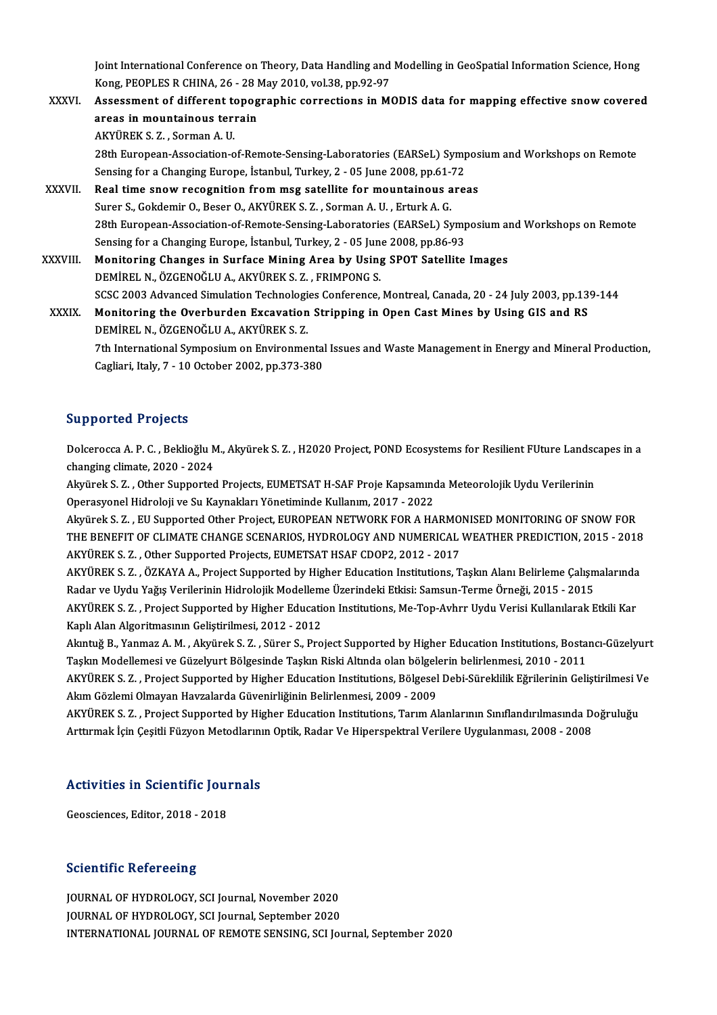Joint International Conference on Theory, Data Handling and Modelling in GeoSpatial Information Science, Hong<br>Kong REORLES R.CHINA, 26, .28 May 2010, vol 29, pp.92, 97 Joint International Conference on Theory, Data Handling and<br>Kong, PEOPLES R CHINA, 26 - 28 May 2010, vol.38, pp.92-97<br>Assessment of different tenegranhic serrestions in M Joint International Conference on Theory, Data Handling and Modelling in GeoSpatial Information Science, Hong<br>Kong, PEOPLES R CHINA, 26 - 28 May 2010, vol.38, pp.92-97<br>XXXVI. Assessment of different topographic corrections

Kong, PEOPLES R CHINA, 26 - 28 May 2010, vol.38, pp.92-97<br>Assessment of different topographic corrections in M<br>areas in mountainous terrain<br>AKYÜREK S. Z., Sorman A. U. Assessment of different topographic corrections in MODIS data for mapping effective snow covered areas in mountainous terrain<br>AKYÜREK S. Z. , Sorman A. U.<br>28th European-Association-of-Remote-Sensing-Laboratories (EARSeL) Symposium and Workshops on Remote<br>Sonsing for a Changing Europe, Istanbul Turkey, 2, .05 June 2008 AKYÜREK S. Z. , Sorman A. U.<br>28th European-Association-of-Remote-Sensing-Laboratories (EARSeL) Symp.<br>Sensing for a Changing Europe, İstanbul, Turkey, 2 - 05 June 2008, pp.61-72<br>Real time snow resegnition from meg satallite 28th European-Association-of-Remote-Sensing-Laboratories (EARSeL) Sympos<br>Sensing for a Changing Europe, İstanbul, Turkey, 2 - 05 June 2008, pp.61-72<br>XXXVII. Real time snow recognition from msg satellite for mountainous are Sensing for a Changing Europe, İstanbul, Turkey, 2 - 05 June 2008, pp.61-72<br>Real time snow recognition from msg satellite for mountainous areas<br>Surer S., Gokdemir O., Beser O., AKYÜREK S. Z. , Sorman A. U. , Erturk A. G. Real time snow recognition from msg satellite for mountainous areas<br>Surer S., Gokdemir O., Beser O., AKYÜREK S. Z. , Sorman A. U. , Erturk A. G.<br>28th European-Association-of-Remote-Sensing-Laboratories (EARSeL) Symposium a Surer S., Gokdemir O., Beser O., AKYÜREK S. Z. , Sorman A. U. , Erturk A. G.<br>28th European-Association-of-Remote-Sensing-Laboratories (EARSeL) Sympressing for a Changing Europe, İstanbul, Turkey, 2 - 05 June 2008, pp.86-93 28th European-Association-of-Remote-Sensing-Laboratories (EARSeL) Symposium an<br>Sensing for a Changing Europe, İstanbul, Turkey, 2 - 05 June 2008, pp.86-93<br>XXXVIII. Monitoring Changes in Surface Mining Area by Using SPOT Sa Sensing for a Changing Europe, İstanbul, Turkey, 2 - 05 June 2008, pp.86-93<br>Monitoring Changes in Surface Mining Area by Using SPOT Satellite Images<br>DEMİREL N., ÖZGENOĞLU A., AKYÜREK S. Z. , FRIMPONG S. Monitoring Changes in Surface Mining Area by Using SPOT Satellite Images<br>DEMİREL N., ÖZGENOĞLU A., AKYÜREK S. Z. , FRIMPONG S.<br>SCSC 2003 Advanced Simulation Technologies Conference, Montreal, Canada, 20 - 24 July 2003, pp. DEMIREL N., ÖZGENOĞLU A., AKYÜREK S. Z. , FRIMPONG S.<br>SCSC 2003 Advanced Simulation Technologies Conference, Montreal, Canada, 20 - 24 July 2003, pp.13<br>XXXIX. Monitoring the Overburden Excavation Stripping in Open Cast Min SCSC 2003 Advanced Simulation Technologi<br>Monitoring the Overburden Excavation<br>DEMİREL N., ÖZGENOĞLU A., AKYÜREK S. Z.<br><sup>7th International Sumnesium on Environme</sup> Monitoring the Overburden Excavation Stripping in Open Cast Mines by Using GIS and RS<br>DEMİREL N., ÖZGENOĞLU A., AKYÜREK S. Z.<br>7th International Symposium on Environmental Issues and Waste Management in Energy and Mineral P

DEMİREL N., ÖZGENOĞLU A., AKYÜREK S. Z.<br>7th International Symposium on Environmental<br>Cagliari, Italy, 7 - 10 October 2002, pp.373-380 Cagliari, Italy, 7 - 10 October 2002, pp.373-380<br>Supported Projects

Supported Projects<br>Dolcerocca A. P. C. , Beklioğlu M., Akyürek S. Z. , H2020 Project, POND Ecosystems for Resilient FUture Landscapes in a<br>shanging climate 2020, 2024 Eupporteur rrejecte<br>Dolcerocca A. P. C. , Beklioğlu M<br>Changing climate, 2020 - 2024<br>Algünel: S. Z. – Other Supportes Dolcerocca A. P. C. , Beklioğlu M., Akyürek S. Z. , H2020 Project, POND Ecosystems for Resilient FUture Landsc<br>changing climate, 2020 - 2024<br>Akyürek S. Z. , Other Supported Projects, EUMETSAT H-SAF Proje Kapsamında Meteoro

changing climate, 2020 - 2024<br>Akyürek S. Z. , Other Supported Projects, EUMETSAT H-SAF Proje Kapsamında Meteorolojik Uydu Verilerinin<br>Operasyonel Hidroloji ve Su Kaynakları Yönetiminde Kullanım, 2017 - 2022 Akyürek S. Z. , Other Supported Projects, EUMETSAT H-SAF Proje Kapsamında Meteorolojik Uydu Verilerinin<br>Operasyonel Hidroloji ve Su Kaynakları Yönetiminde Kullanım, 2017 - 2022<br>Akyürek S. Z. , EU Supported Other Project, E

Operasyonel Hidroloji ve Su Kaynakları Yönetiminde Kullanım, 2017 - 2022<br>Akyürek S. Z. , EU Supported Other Project, EUROPEAN NETWORK FOR A HARMONISED MONITORING OF SNOW FOR<br>THE BENEFIT OF CLIMATE CHANGE SCENARIOS, HYDROLO Akyürek S. Z. , EU Supported Other Project, EUROPEAN NETWORK FOR A HARMO<br>THE BENEFIT OF CLIMATE CHANGE SCENARIOS, HYDROLOGY AND NUMERICAL<br>AKYÜREK S. Z. , Other Supported Projects, EUMETSAT HSAF CDOP2, 2012 - 2017<br>AKYÜREK S THE BENEFIT OF CLIMATE CHANGE SCENARIOS, HYDROLOGY AND NUMERICAL WEATHER PREDICTION, 2015 - 2018<br>AKYÜREK S. Z. , Other Supported Projects, EUMETSAT HSAF CDOP2, 2012 - 2017<br>AKYÜREK S. Z. , ÖZKAYA A., Project Supported by Hi

AKYÜREK S. Z. , Other Supported Projects, EUMETSAT HSAF CDOP2, 2012 - 2017<br>AKYÜREK S. Z. , ÖZKAYA A., Project Supported by Higher Education Institutions, Taşkın Alanı Belirleme Çalışm<br>Radar ve Uydu Yağış Verilerinin Hidrol AKYÜREK S. Z. , ÖZKAYA A., Project Supported by Higher Education Institutions, Taşkın Alanı Belirleme Çalışmalarında<br>Radar ve Uydu Yağış Verilerinin Hidrolojik Modelleme Üzerindeki Etkisi: Samsun-Terme Örneği, 2015 - 2015<br> Radar ve Uydu Yağış Verilerinin Hidrolojik Modelleme Üzerindeki Etkisi: Samsun-Terme Örneği, 2015 - 2015<br>AKYÜREK S. Z. , Project Supported by Higher Education Institutions, Me-Top-Avhrr Uydu Verisi Kullanılarak Etkili Kar<br> AKYÜREK S. Z., Project Supported by Higher Education Institutions, Me-Top-Avhrr Uydu Verisi Kullanılarak Etkili Kar

Kaplı Alan Algoritmasının Geliştirilmesi, 2012 - 2012<br>Akıntuğ B., Yanmaz A. M. , Akyürek S. Z. , Sürer S., Project Supported by Higher Education Institutions, Bosta<br>Taşkın Modellemesi ve Güzelyurt Bölgesinde Taşkın Riski A Akıntuğ B., Yanmaz A. M. , Akyürek S. Z. , Sürer S., Project Supported by Higher Education Institutions, Bostancı-Güzelyurt<br>Taşkın Modellemesi ve Güzelyurt Bölgesinde Taşkın Riski Altında olan bölgelerin belirlenmesi, 2010

Taşkın Modellemesi ve Güzelyurt Bölgesinde Taşkın Riski Altında olan bölgele<br>AKYÜREK S. Z. , Project Supported by Higher Education Institutions, Bölgesel<br>Akım Gözlemi Olmayan Havzalarda Güvenirliğinin Belirlenmesi, 2009 - AKYÜREK S. Z. , Project Supported by Higher Education Institutions, Bölgesel Debi-Süreklilik Eğrilerinin Geliştirilmesi V<br>Akım Gözlemi Olmayan Havzalarda Güvenirliğinin Belirlenmesi, 2009 - 2009<br>AKYÜREK S. Z. , Project Sup

Akım Gözlemi Olmayan Havzalarda Güvenirliğinin Belirlenmesi, 2009 - 2009<br>AKYÜREK S. Z. , Project Supported by Higher Education Institutions, Tarım Alanlarının Sınıflandırılmasında Doğruluğu<br>Arttırmak İçin Çeşitli Füzyon Me

# Arturmak için çeşitli Fuzyon Metodiarını<br>Activities in Scientific Journals A<mark>ctivities in Scientific Jou</mark><br>Geosciences, Editor, 2018 - 2018

Geosciences, Editor, 2018 - 2018<br>Scientific Refereeing

JOURNAL OF HYDROLOGY, SCI Journal, November 2020 JOURNAL OF HYDROLOGY, SCI Journal, September 2020 INTERNATIONAL JOURNAL OF REMOTE SENSING, SCI Journal, September 2020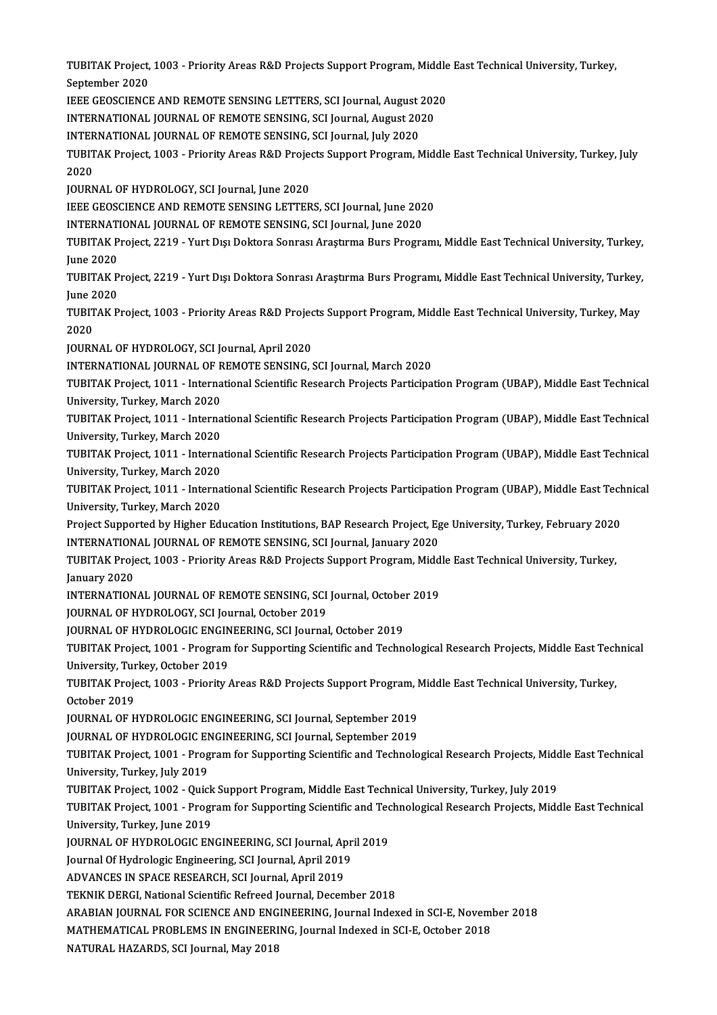TUBITAK Project, 1003 - Priority Areas R&D Projects Support Program, Middle East Technical University, Turkey,<br>Sentember 2020 **TUBITAK Project,<br>September 2020<br>JEEE CEOSCIENCE** TUBITAK Project, 1003 - Priority Areas R&D Projects Support Program, Middle<br>September 2020<br>IEEE GEOSCIENCE AND REMOTE SENSING LETTERS, SCI Journal, August 2020<br>INTERNATIONAL JOURNAL OF REMOTE SENSING, SCI Journal, August 2 September 2020<br>IEEE GEOSCIENCE AND REMOTE SENSING LETTERS, SCI Journal, August 202<br>INTERNATIONAL JOURNAL OF REMOTE SENSING, SCI Journal July 2020<br>INTERNATIONAL JOURNAL OF REMOTE SENSING, SCI Journal July 2020 IEEE GEOSCIENCE AND REMOTE SENSING LETTERS, SCI Journal, August <mark>:</mark><br>INTERNATIONAL JOURNAL OF REMOTE SENSING, SCI Journal, August 20<br>INTERNATIONAL JOURNAL OF REMOTE SENSING, SCI Journal, July 2020<br>TUBITAK Broject, 1003 - Br INTERNATIONAL JOURNAL OF REMOTE SENSING, SCI Journal, August 2020<br>INTERNATIONAL JOURNAL OF REMOTE SENSING, SCI Journal, July 2020<br>TUBITAK Project, 1003 - Priority Areas R&D Projects Support Program, Middle East Technical U INTERNATIONAL JOURNAL OF REMOTE SENSING, SCI Journal, July 2020<br>TUBITAK Project, 1003 - Priority Areas R&D Projects Support Program, 1<br>2020<br>JOURNAL OF HYDROLOGY, SCI Journal, June 2020 TUBITAK Project, 1003 - Priority Areas R&D Proje<br>2020<br>JOURNAL OF HYDROLOGY, SCI Journal, June 2020<br>JEEE CEOSCIENCE AND PEMOTE SENSINC J ETTER 2020<br>JOURNAL OF HYDROLOGY, SCI Journal, June 2020<br>IEEE GEOSCIENCE AND REMOTE SENSING LETTERS, SCI Journal, June 2020<br>INTERNATIONAL JOURNAL OF REMOTE SENSING, SCI Journal June 2020 JOURNAL OF HYDROLOGY, SCI Journal, June 2020<br>IEEE GEOSCIENCE AND REMOTE SENSING LETTERS, SCI Journal, June 202<br>INTERNATIONAL JOURNAL OF REMOTE SENSING, SCI Journal, June 2020<br>TUBITAK Broject 2219 - Yurt Die Doktore Sonres: TUBITAK Project, 2219 - Yurt Dışı Doktora Sonrası Araştırma Burs Programı, Middle East Technical University, Turkey,<br>June 2020 INTERNATIONAL JOURNAL OF REMOTE SENSING, SCI Journal, June 2020 TUBITAK Project, 2219 - Yurt Dışı Doktora Sonrası Araştırma Burs Programı, Middle East Technical University, Turkey,<br>June 2020<br>TUBITAK Project, 2219 - Yurt Dışı Doktora Sonrası Araştırma Burs Programı, Middle East Technica June 2020<br>TUBITAK P<br>June 2020<br>TUBITAK B TUBITAK Project, 2219 - Yurt Dışı Doktora Sonrası Araştırma Burs Programı, Middle East Technical University, Turkey,<br>June 2020<br>TUBITAK Project, 1003 - Priority Areas R&D Projects Support Program, Middle East Technical Univ June 2020<br>TUBITAK Project, 1003 - Priority Areas R&D Proje<br>2020<br>JOURNAL OF HYDROLOGY, SCI Journal, April 2020 TUBITAK Project, 1003 - Priority Areas R&D Projects Support Program, Middle East Technical University, Turkey, May INTERNATIONAL JOURNAL OF REMOTE SENSING, SCI Journal, March 2020 JOURNAL OF HYDROLOGY, SCI Journal, April 2020<br>INTERNATIONAL JOURNAL OF REMOTE SENSING, SCI Journal, March 2020<br>TUBITAK Project, 1011 - International Scientific Research Projects Participation Program (UBAP), Middle East Te INTERNATIONAL JOURNAL OF R<br>TUBITAK Project, 1011 - Interna<br>University, Turkey, March 2020<br>TUBITAK Project, 1011 - Interna TUBITAK Project, 1011 - International Scientific Research Projects Participation Program (UBAP), Middle East Technical<br>University, Turkey, March 2020<br>TUBITAK Project, 1011 - International Scientific Research Projects Parti University, Turkey, March 2020<br>TUBITAK Project, 1011 - International Scientific Research Projects Participation Program (UBAP), Middle East Technical<br>University, Turkey, March 2020 TUBITAK Project, 1011 - International Scientific Research Projects Participation Program (UBAP), Middle East Technical<br>University, Turkey, March 2020<br>TUBITAK Project, 1011 - International Scientific Research Projects Parti University, Turkey, March 2020<br>TUBITAK Project, 1011 - Interna<br>University, Turkey, March 2020<br>TUBITAK Project, 1011 - Interna TUBITAK Project, 1011 - International Scientific Research Projects Participation Program (UBAP), Middle East Technical<br>University, Turkey, March 2020<br>TUBITAK Project, 1011 - International Scientific Research Projects Parti University, Turkey, March 2020<br>TUBITAK Project, 1011 - Interna<br>University, Turkey, March 2020<br>Project Sunnorted by Hisbor Ed TUBITAK Project, 1011 - International Scientific Research Projects Participation Program (UBAP), Middle East Tech<br>University, Turkey, March 2020<br>Project Supported by Higher Education Institutions, BAP Research Project, Ege University, Turkey, March 2020<br>Project Supported by Higher Education Institutions, BAP Research Project, Ege University, Turkey, February 2020<br>INTERNATIONAL JOURNAL OF REMOTE SENSING, SCI Journal, January 2020 Project Supported by Higher Education Institutions, BAP Research Project, Ege University, Turkey, February 2020<br>INTERNATIONAL JOURNAL OF REMOTE SENSING, SCI Journal, January 2020<br>TUBITAK Project, 1003 - Priority Areas R&D INTERNATION<br>TUBITAK Proje<br>January 2020<br>INTERNATION TUBITAK Project, 1003 - Priority Areas R&D Projects Support Program, Midd<br>January 2020<br>INTERNATIONAL JOURNAL OF REMOTE SENSING, SCI Journal, October 2019<br>JOURNAL OF HYDROLOCY, SCI Journal October 2019 January 2020<br>INTERNATIONAL JOURNAL OF REMOTE SENSING, SCI Journal, October 2019<br>JOURNAL OF HYDROLOGY, SCI Journal, October 2019 INTERNATIONAL JOURNAL OF REMOTE SENSING, SCI Journal, Octobe:<br>JOURNAL OF HYDROLOGY, SCI Journal, October 2019<br>JOURNAL OF HYDROLOGIC ENGINEERING, SCI Journal, October 2019<br>TUBITAK Preject 1001 - Pregram for Supporting Scien JOURNAL OF HYDROLOGY, SCI Journal, October 2019<br>JOURNAL OF HYDROLOGIC ENGINEERING, SCI Journal, October 2019<br>TUBITAK Project, 1001 - Program for Supporting Scientific and Technological Research Projects, Middle East Techni **JOURNAL OF HYDROLOGIC ENGIN<br>TUBITAK Project, 1001 - Program<br>University, Turkey, October 2019<br>TUBITAK Project, 1003 - Prierity A** TUBITAK Project, 1001 - Program for Supporting Scientific and Technological Research Projects, Middle East Tech<br>University, Turkey, October 2019<br>TUBITAK Project, 1003 - Priority Areas R&D Projects Support Program, Middle E University, Turkey, October 2019<br>TUBITAK Project, 1003 - Priority Areas R&D Projects Support Program, Middle East Technical University, Turkey,<br>October 2019 TUBITAK Project, 1003 - Priority Areas R&D Projects Support Program, I<br>October 2019<br>JOURNAL OF HYDROLOGIC ENGINEERING, SCI Journal, September 2019<br>JOURNAL OF HYDROLOGIC ENGINEERING, SCI Journal, September 2019 October 2019<br>JOURNAL OF HYDROLOGIC ENGINEERING, SCI Journal, September 2019<br>JOURNAL OF HYDROLOGIC ENGINEERING, SCI Journal, September 2019<br>TURITAK Preject 1001 - Pregram for Supporting Scientific and Technolo TUBITAK Project, 1001 - Program for Supporting Scientific and Technological Research Projects, Middle East Technical<br>University, Turkey, July 2019 JOURNAL OF HYDROLOGIC ENGINEERING, SCI Journal, September 2019 TUBITAK Project, 1001 - Program for Supporting Scientific and Technological Research Projects, Midd<br>University, Turkey, July 2019<br>TUBITAK Project, 1002 - Quick Support Program, Middle East Technical University, Turkey, Jul University, Turkey, July 2019<br>TUBITAK Project, 1002 - Quick Support Program, Middle East Technical University, Turkey, July 2019<br>TUBITAK Project, 1001 - Program for Supporting Scientific and Technological Research Projects TUBITAK Project, 1002 - Quick<br>TUBITAK Project, 1001 - Progr<br>University, Turkey, June 2019<br>JOUPNAL OF HYDROLOCIC EN TUBITAK Project, 1001 - Program for Supporting Scientific and Technological Research Projects, Middle East Technical<br>University, Turkey, June 2019<br>JOURNAL OF HYDROLOGIC ENGINEERING, SCI Journal, April 2019 Journal Of Hydrologic Engineering, SCI Journal, April 2019 JOURNAL OF HYDROLOGIC ENGINEERING, SCI Journal, Ap<br>Journal Of Hydrologic Engineering, SCI Journal, April 2019<br>ADVANCES IN SPACE RESEARCH, SCI Journal, April 2019<br>TEKNIK DEPCL National Scientific Pefreed Journal, Decer Journal Of Hydrologic Engineering, SCI Journal, April 2019<br>ADVANCES IN SPACE RESEARCH, SCI Journal, April 2019<br>TEKNIK DERGI, National Scientific Refreed Journal, December 2018<br>ARAPIAN JOURNAL FOR SCIENCE AND ENCINEERING, J ADVANCES IN SPACE RESEARCH, SCI Journal, April 2019<br>TEKNIK DERGI, National Scientific Refreed Journal, December 2018<br>ARABIAN JOURNAL FOR SCIENCE AND ENGINEERING, Journal Indexed in SCI-E, November 2018<br>MATHEMATICAL PROPLEM TEKNIK DERGI, National Scientific Refreed Journal, December 2018<br>ARABIAN JOURNAL FOR SCIENCE AND ENGINEERING, Journal Indexed in SCI-E, Novemi<br>MATHEMATICAL PROBLEMS IN ENGINEERING, Journal Indexed in SCI-E, October 2018<br>NA MATHEMATICAL PROBLEMS IN ENGINEERING, Journal Indexed in SCI-E, October 2018<br>NATURAL HAZARDS, SCI Journal, May 2018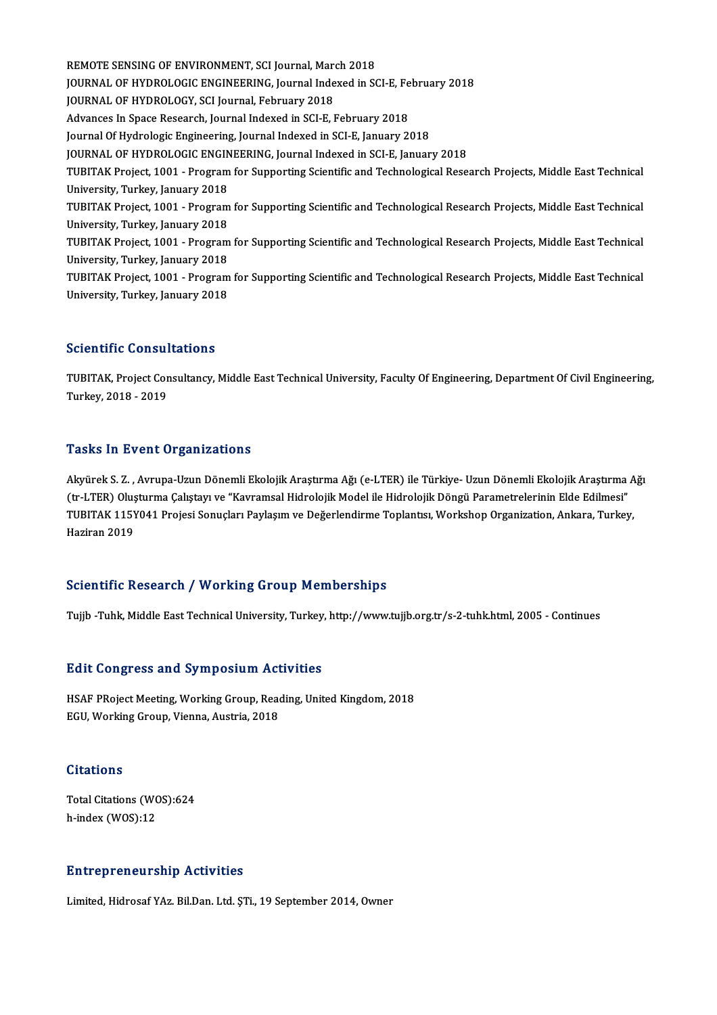REMOTE SENSING OF ENVIRONMENT, SCI Journal, March 2018 REMOTE SENSING OF ENVIRONMENT, SCI Journal, March 2018<br>JOURNAL OF HYDROLOGIC ENGINEERING, Journal Indexed in SCI-E, February 2018<br>JOURNAL OF HYDROLOGY, SCI Journal February 2018 REMOTE SENSING OF ENVIRONMENT, SCI Journal, Marq<br>JOURNAL OF HYDROLOGIC ENGINEERING, Journal Inde<br>JOURNAL OF HYDROLOGY, SCI Journal, February 2018<br>Advances In Space Bessamb, Journal Indeved in SCLE L JOURNAL OF HYDROLOGIC ENGINEERING, Journal Indexed in SCI-E, Fe<br>JOURNAL OF HYDROLOGY, SCI Journal, February 2018<br>Advances In Space Research, Journal Indexed in SCI-E, February 2018<br>Journal Of Hydrologic Engineering, Journa JOURNAL OF HYDROLOGY, SCI Journal, February 2018<br>Advances In Space Research, Journal Indexed in SCI-E, February 2018<br>Journal Of Hydrologic Engineering, Journal Indexed in SCI-E, January 2018 JOURNAL OF HYDROLOGIC ENGINEERING, Journal Indexed in SCI-E, January 2018 Journal Of Hydrologic Engineering, Journal Indexed in SCI-E, January 2018<br>JOURNAL OF HYDROLOGIC ENGINEERING, Journal Indexed in SCI-E, January 2018<br>TUBITAK Project, 1001 - Program for Supporting Scientific and Technologica **JOURNAL OF HYDROLOGIC ENGIN<br>TUBITAK Project, 1001 - Program<br>University, Turkey, January 2018<br>TUBITAK Project, 1001 - Program** TUBITAK Project, 1001 - Program for Supporting Scientific and Technological Research Projects, Middle East Technical<br>University, Turkey, January 2018<br>TUBITAK Project, 1001 - Program for Supporting Scientific and Technologi University, Turkey, January 2018<br>TUBITAK Project, 1001 - Program<br>University, Turkey, January 2018<br>TUBITAK Project, 1001 - Program TUBITAK Project, 1001 - Program for Supporting Scientific and Technological Research Projects, Middle East Technical<br>University, Turkey, January 2018<br>TUBITAK Project, 1001 - Program for Supporting Scientific and Technologi University, Turkey, January 2018<br>TUBITAK Project, 1001 - Program for Supporting Scientific and Technological Research Projects, Middle East Technical<br>University, Turkey, January 2018 TUBITAK Project, 1001 - Program for Supporting Scientific and Technological Research Projects, Middle East Technical University, Turkey, January 2018

#### Scientific Consultations

TUBITAK, Project Consultancy, Middle East Technical University, Faculty Of Engineering, Department Of Civil Engineering, Turkey,2018 -2019

#### **Tasks In Event Organizations**

**Tasks In Event Organizations**<br>Akyürek S. Z. , Avrupa-Uzun Dönemli Ekolojik Araştırma Ağı (e-LTER) ile Türkiye- Uzun Dönemli Ekolojik Araştırma Ağı<br>(tr. LTEP) Olyatırma Cakıtarı ve "Koyramaal Hidrolojik Madal ile Hidroloji Tasks III 21 sire of gammatisms<br>Akyürek S. Z. , Avrupa-Uzun Dönemli Ekolojik Araştırma Ağı (e-LTER) ile Türkiye- Uzun Dönemli Ekolojik Araştırma<br>TUPITAK 115Y041 Prejeci Sonucları Paylasım ve Doğorlandirme Taplanta: Worksha Akyürek S. Z. , Avrupa-Uzun Dönemli Ekolojik Araştırma Ağı (e-LTER) ile Türkiye- Uzun Dönemli Ekolojik Araştırma A<br>(tr-LTER) Oluşturma Çalıştayı ve "Kavramsal Hidrolojik Model ile Hidrolojik Döngü Parametrelerinin Elde Edi (tr-LTER) Oluşturma Çalıştayı ve "Kavramsal Hidrolojik Model ile Hidrolojik Döngü Parametrelerinin Elde Edilmesi"<br>TUBITAK 115Y041 Projesi Sonuçları Paylaşım ve Değerlendirme Toplantısı, Workshop Organization, Ankara, Turke

#### Scientific Research / Working Group Memberships

Tujib -Tuhk, Middle East Technical University, Turkey, http://www.tujjb.org.tr/s-2-tuhk.html, 2005 - Continues

#### Edit Congress and SymposiumActivities

Edit Congress and Symposium Activities<br>HSAF PRoject Meeting, Working Group, Reading, United Kingdom, 2018<br>ECU Working Croup Vienne, Austria, 2019 EGTE GOT<sub>1</sub>9 COO GITG OF IIP OOTGIN TIC.<br>HSAF PRoject Meeting, Working Group, Read<br>EGU, Working Group, Vienna, Austria, 2018 EGU, Working Group, Vienna, Austria, 2018<br>Citations

Citations<br>Total Citations (WOS):624<br>h index (WOS):12 ortations<br>Total Citations (WO<br>h-index (WOS):12

# h-index (WOS):12<br>Entrepreneurship Activities

Limited, Hidrosaf YAz. Bil.Dan. Ltd. ŞTi., 19 September 2014, Owner